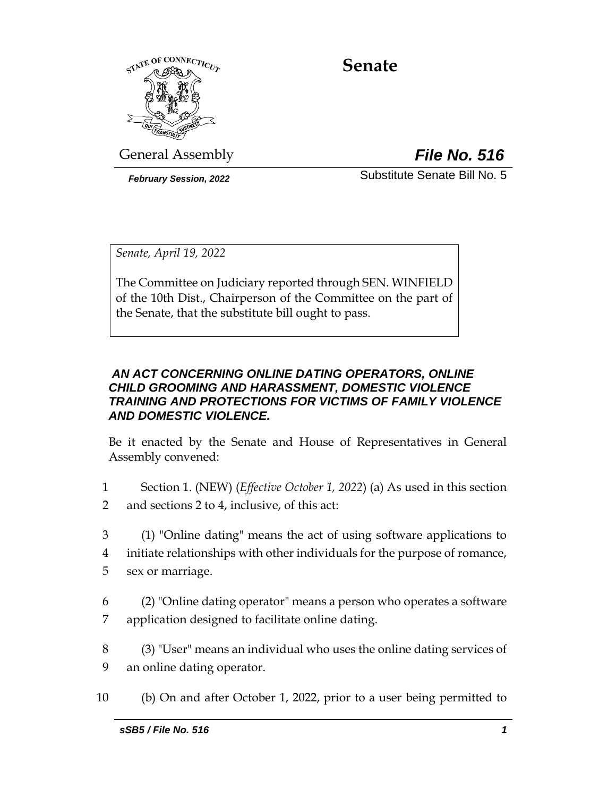

# **Senate**

General Assembly *File No. 516*

*February Session, 2022* Substitute Senate Bill No. 5

*Senate, April 19, 2022*

The Committee on Judiciary reported through SEN. WINFIELD of the 10th Dist., Chairperson of the Committee on the part of the Senate, that the substitute bill ought to pass.

# *AN ACT CONCERNING ONLINE DATING OPERATORS, ONLINE CHILD GROOMING AND HARASSMENT, DOMESTIC VIOLENCE TRAINING AND PROTECTIONS FOR VICTIMS OF FAMILY VIOLENCE AND DOMESTIC VIOLENCE.*

Be it enacted by the Senate and House of Representatives in General Assembly convened:

- 1 Section 1. (NEW) (*Effective October 1, 2022*) (a) As used in this section 2 and sections 2 to 4, inclusive, of this act:
- 3 (1) "Online dating" means the act of using software applications to 4 initiate relationships with other individuals for the purpose of romance,
- 5 sex or marriage.
- 6 (2) "Online dating operator" means a person who operates a software 7 application designed to facilitate online dating.
- 8 (3) "User" means an individual who uses the online dating services of 9 an online dating operator.
- 10 (b) On and after October 1, 2022, prior to a user being permitted to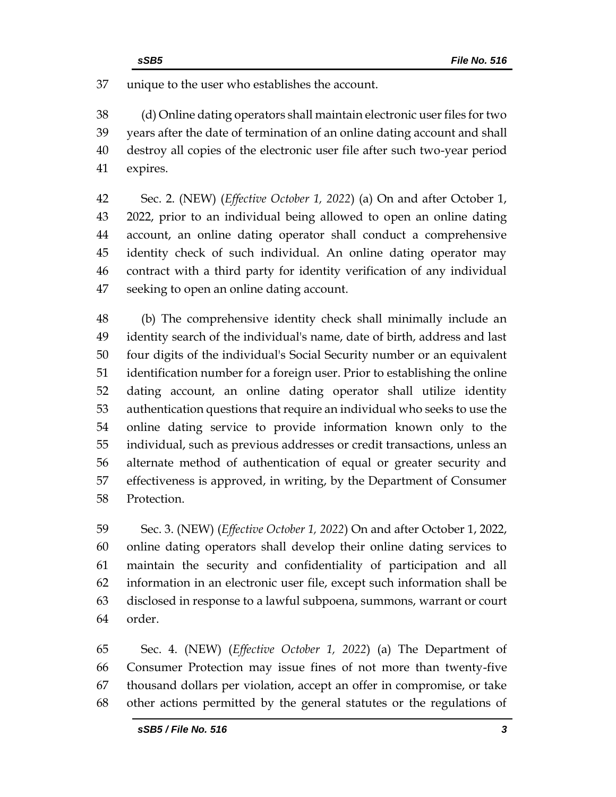unique to the user who establishes the account.

 (d) Online dating operators shall maintain electronic user files for two years after the date of termination of an online dating account and shall destroy all copies of the electronic user file after such two-year period expires.

 Sec. 2. (NEW) (*Effective October 1, 2022*) (a) On and after October 1, 2022, prior to an individual being allowed to open an online dating account, an online dating operator shall conduct a comprehensive identity check of such individual. An online dating operator may contract with a third party for identity verification of any individual seeking to open an online dating account.

 (b) The comprehensive identity check shall minimally include an identity search of the individual's name, date of birth, address and last four digits of the individual's Social Security number or an equivalent identification number for a foreign user. Prior to establishing the online dating account, an online dating operator shall utilize identity authentication questions that require an individual who seeks to use the online dating service to provide information known only to the individual, such as previous addresses or credit transactions, unless an alternate method of authentication of equal or greater security and effectiveness is approved, in writing, by the Department of Consumer Protection.

 Sec. 3. (NEW) (*Effective October 1, 2022*) On and after October 1, 2022, online dating operators shall develop their online dating services to maintain the security and confidentiality of participation and all information in an electronic user file, except such information shall be disclosed in response to a lawful subpoena, summons, warrant or court order.

 Sec. 4. (NEW) (*Effective October 1, 2022*) (a) The Department of Consumer Protection may issue fines of not more than twenty-five thousand dollars per violation, accept an offer in compromise, or take other actions permitted by the general statutes or the regulations of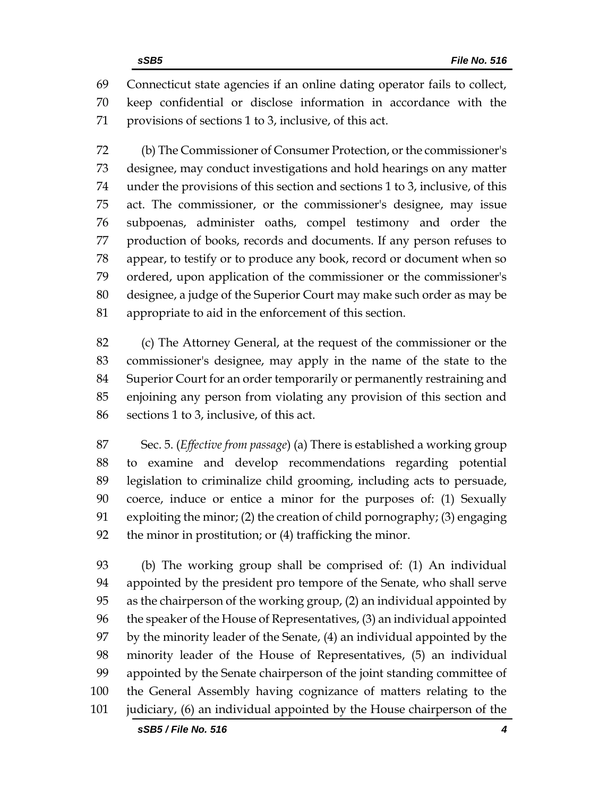Connecticut state agencies if an online dating operator fails to collect, keep confidential or disclose information in accordance with the provisions of sections 1 to 3, inclusive, of this act.

 (b) The Commissioner of Consumer Protection, or the commissioner's designee, may conduct investigations and hold hearings on any matter under the provisions of this section and sections 1 to 3, inclusive, of this act. The commissioner, or the commissioner's designee, may issue subpoenas, administer oaths, compel testimony and order the production of books, records and documents. If any person refuses to appear, to testify or to produce any book, record or document when so ordered, upon application of the commissioner or the commissioner's designee, a judge of the Superior Court may make such order as may be appropriate to aid in the enforcement of this section.

 (c) The Attorney General, at the request of the commissioner or the commissioner's designee, may apply in the name of the state to the Superior Court for an order temporarily or permanently restraining and enjoining any person from violating any provision of this section and sections 1 to 3, inclusive, of this act.

 Sec. 5. (*Effective from passage*) (a) There is established a working group to examine and develop recommendations regarding potential legislation to criminalize child grooming, including acts to persuade, coerce, induce or entice a minor for the purposes of: (1) Sexually exploiting the minor; (2) the creation of child pornography; (3) engaging the minor in prostitution; or (4) trafficking the minor.

 (b) The working group shall be comprised of: (1) An individual appointed by the president pro tempore of the Senate, who shall serve as the chairperson of the working group, (2) an individual appointed by the speaker of the House of Representatives, (3) an individual appointed by the minority leader of the Senate, (4) an individual appointed by the minority leader of the House of Representatives, (5) an individual appointed by the Senate chairperson of the joint standing committee of the General Assembly having cognizance of matters relating to the judiciary, (6) an individual appointed by the House chairperson of the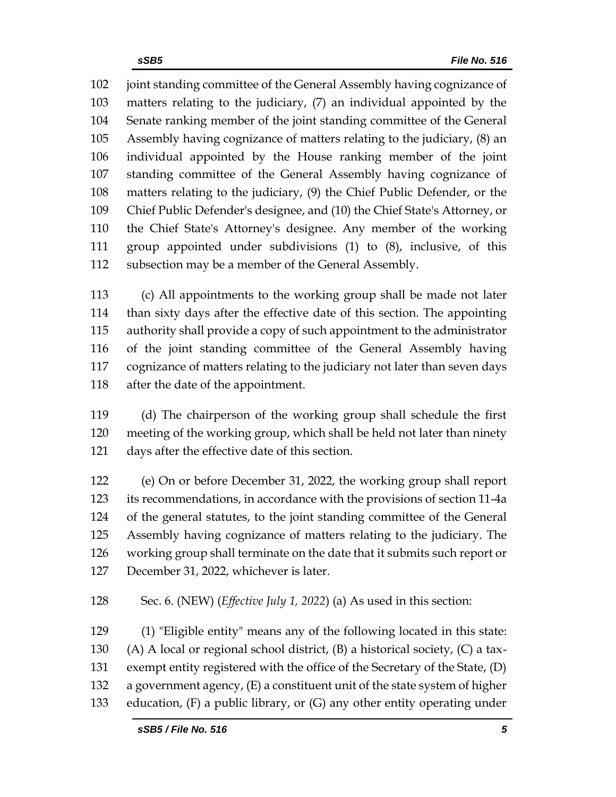102 joint standing committee of the General Assembly having cognizance of matters relating to the judiciary, (7) an individual appointed by the Senate ranking member of the joint standing committee of the General Assembly having cognizance of matters relating to the judiciary, (8) an individual appointed by the House ranking member of the joint standing committee of the General Assembly having cognizance of matters relating to the judiciary, (9) the Chief Public Defender, or the Chief Public Defender's designee, and (10) the Chief State's Attorney, or the Chief State's Attorney's designee. Any member of the working group appointed under subdivisions (1) to (8), inclusive, of this subsection may be a member of the General Assembly.

 (c) All appointments to the working group shall be made not later than sixty days after the effective date of this section. The appointing authority shall provide a copy of such appointment to the administrator of the joint standing committee of the General Assembly having cognizance of matters relating to the judiciary not later than seven days after the date of the appointment.

 (d) The chairperson of the working group shall schedule the first meeting of the working group, which shall be held not later than ninety days after the effective date of this section.

 (e) On or before December 31, 2022, the working group shall report its recommendations, in accordance with the provisions of section 11-4a of the general statutes, to the joint standing committee of the General Assembly having cognizance of matters relating to the judiciary. The working group shall terminate on the date that it submits such report or December 31, 2022, whichever is later.

Sec. 6. (NEW) (*Effective July 1, 2022*) (a) As used in this section:

 (1) "Eligible entity" means any of the following located in this state: (A) A local or regional school district, (B) a historical society, (C) a tax- exempt entity registered with the office of the Secretary of the State, (D) a government agency, (E) a constituent unit of the state system of higher education, (F) a public library, or (G) any other entity operating under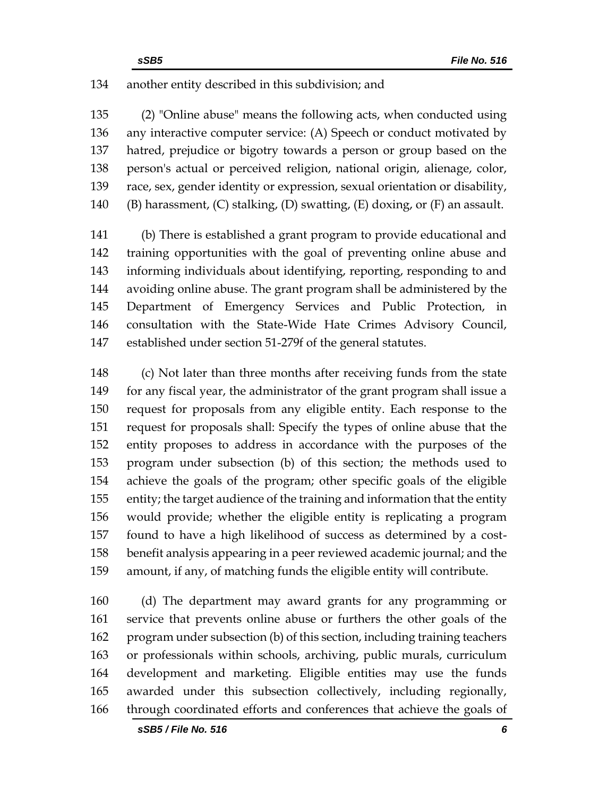### another entity described in this subdivision; and

 (2) "Online abuse" means the following acts, when conducted using any interactive computer service: (A) Speech or conduct motivated by hatred, prejudice or bigotry towards a person or group based on the person's actual or perceived religion, national origin, alienage, color, race, sex, gender identity or expression, sexual orientation or disability, 140 (B) harassment,  $(C)$  stalking,  $(D)$  swatting,  $(E)$  doxing, or  $(F)$  an assault.

 (b) There is established a grant program to provide educational and training opportunities with the goal of preventing online abuse and informing individuals about identifying, reporting, responding to and avoiding online abuse. The grant program shall be administered by the Department of Emergency Services and Public Protection, in consultation with the State-Wide Hate Crimes Advisory Council, established under section 51-279f of the general statutes.

 (c) Not later than three months after receiving funds from the state for any fiscal year, the administrator of the grant program shall issue a request for proposals from any eligible entity. Each response to the request for proposals shall: Specify the types of online abuse that the entity proposes to address in accordance with the purposes of the program under subsection (b) of this section; the methods used to achieve the goals of the program; other specific goals of the eligible entity; the target audience of the training and information that the entity would provide; whether the eligible entity is replicating a program found to have a high likelihood of success as determined by a cost- benefit analysis appearing in a peer reviewed academic journal; and the amount, if any, of matching funds the eligible entity will contribute.

 (d) The department may award grants for any programming or service that prevents online abuse or furthers the other goals of the program under subsection (b) of this section, including training teachers or professionals within schools, archiving, public murals, curriculum development and marketing. Eligible entities may use the funds awarded under this subsection collectively, including regionally, through coordinated efforts and conferences that achieve the goals of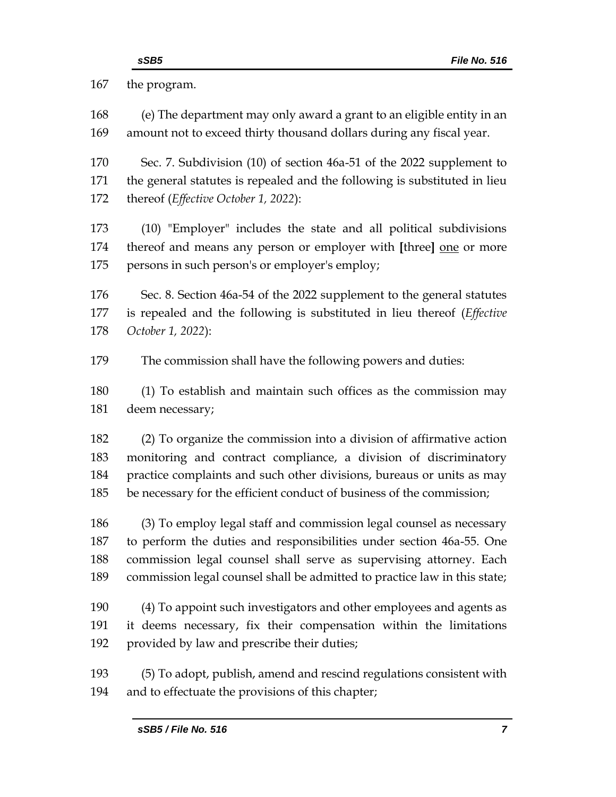the program. (e) The department may only award a grant to an eligible entity in an amount not to exceed thirty thousand dollars during any fiscal year. Sec. 7. Subdivision (10) of section 46a-51 of the 2022 supplement to the general statutes is repealed and the following is substituted in lieu thereof (*Effective October 1, 2022*): (10) "Employer" includes the state and all political subdivisions thereof and means any person or employer with **[**three**]** one or more persons in such person's or employer's employ; Sec. 8. Section 46a-54 of the 2022 supplement to the general statutes is repealed and the following is substituted in lieu thereof (*Effective October 1, 2022*): The commission shall have the following powers and duties: (1) To establish and maintain such offices as the commission may deem necessary; (2) To organize the commission into a division of affirmative action monitoring and contract compliance, a division of discriminatory practice complaints and such other divisions, bureaus or units as may be necessary for the efficient conduct of business of the commission; (3) To employ legal staff and commission legal counsel as necessary to perform the duties and responsibilities under section 46a-55. One commission legal counsel shall serve as supervising attorney. Each commission legal counsel shall be admitted to practice law in this state; (4) To appoint such investigators and other employees and agents as it deems necessary, fix their compensation within the limitations provided by law and prescribe their duties; (5) To adopt, publish, amend and rescind regulations consistent with and to effectuate the provisions of this chapter;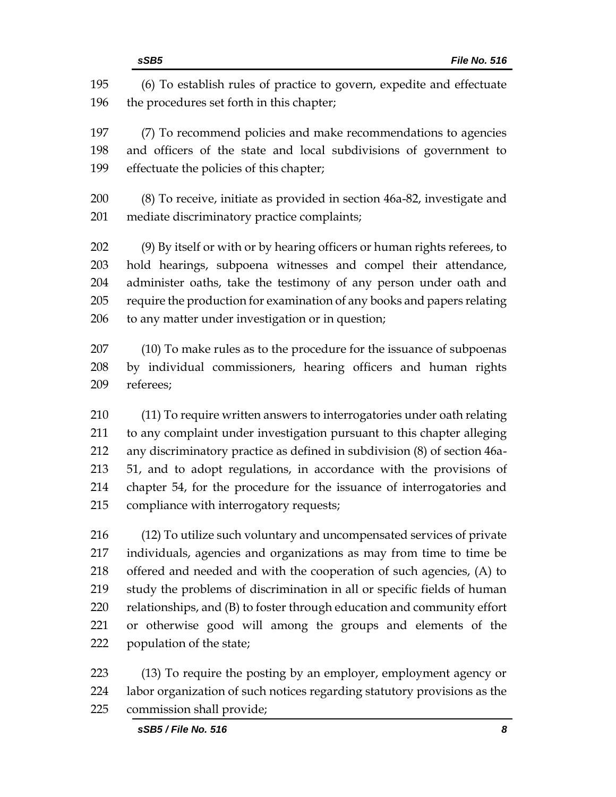|            | sSB5<br>File No. 516                                                                                               |
|------------|--------------------------------------------------------------------------------------------------------------------|
| 195<br>196 | (6) To establish rules of practice to govern, expedite and effectuate<br>the procedures set forth in this chapter; |
| 197        | (7) To recommend policies and make recommendations to agencies                                                     |
| 198        | and officers of the state and local subdivisions of government to                                                  |
| 199        | effectuate the policies of this chapter;                                                                           |
| 200        | (8) To receive, initiate as provided in section 46a-82, investigate and                                            |
| 201        | mediate discriminatory practice complaints;                                                                        |
| 202        | (9) By itself or with or by hearing officers or human rights referees, to                                          |
| 203        | hold hearings, subpoena witnesses and compel their attendance,                                                     |
| 204        | administer oaths, take the testimony of any person under oath and                                                  |
| 205        | require the production for examination of any books and papers relating                                            |
| 206        | to any matter under investigation or in question;                                                                  |
| 207        | (10) To make rules as to the procedure for the issuance of subpoenas                                               |
| 208        | by individual commissioners, hearing officers and human rights                                                     |
| 209        | referees;                                                                                                          |
| 210        | (11) To require written answers to interrogatories under oath relating                                             |
| 211        | to any complaint under investigation pursuant to this chapter alleging                                             |
| 212        | any discriminatory practice as defined in subdivision (8) of section 46a-                                          |
| 213        | 51, and to adopt regulations, in accordance with the provisions of                                                 |
| 214        | chapter 54, for the procedure for the issuance of interrogatories and                                              |
| 215        | compliance with interrogatory requests;                                                                            |
| 216        | (12) To utilize such voluntary and uncompensated services of private                                               |
| 217        | individuals, agencies and organizations as may from time to time be                                                |
| 218        | offered and needed and with the cooperation of such agencies, (A) to                                               |
| 219        | study the problems of discrimination in all or specific fields of human                                            |
| 220        | relationships, and (B) to foster through education and community effort                                            |
| 221        | or otherwise good will among the groups and elements of the                                                        |
| 222        | population of the state;                                                                                           |
| 223        | (13) To require the posting by an employer, employment agency or                                                   |
| 224        | labor organization of such notices regarding statutory provisions as the                                           |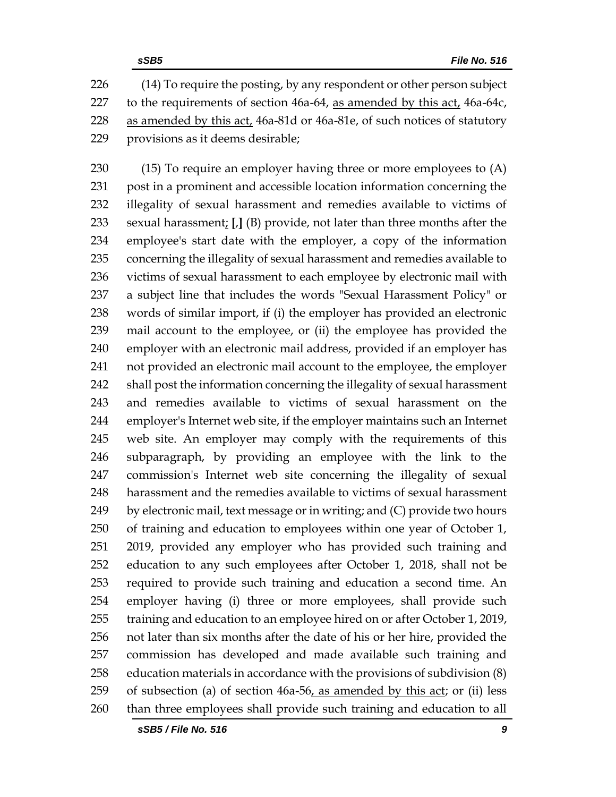226 (14) To require the posting, by any respondent or other person subject to the requirements of section 46a-64, as amended by this act, 46a-64c, as amended by this act, 46a-81d or 46a-81e, of such notices of statutory provisions as it deems desirable;

 (15) To require an employer having three or more employees to (A) post in a prominent and accessible location information concerning the illegality of sexual harassment and remedies available to victims of sexual harassment; **[**,**]** (B) provide, not later than three months after the employee's start date with the employer, a copy of the information concerning the illegality of sexual harassment and remedies available to victims of sexual harassment to each employee by electronic mail with a subject line that includes the words "Sexual Harassment Policy" or words of similar import, if (i) the employer has provided an electronic mail account to the employee, or (ii) the employee has provided the employer with an electronic mail address, provided if an employer has not provided an electronic mail account to the employee, the employer shall post the information concerning the illegality of sexual harassment and remedies available to victims of sexual harassment on the employer's Internet web site, if the employer maintains such an Internet web site. An employer may comply with the requirements of this subparagraph, by providing an employee with the link to the commission's Internet web site concerning the illegality of sexual harassment and the remedies available to victims of sexual harassment by electronic mail, text message or in writing; and (C) provide two hours of training and education to employees within one year of October 1, 2019, provided any employer who has provided such training and education to any such employees after October 1, 2018, shall not be required to provide such training and education a second time. An employer having (i) three or more employees, shall provide such training and education to an employee hired on or after October 1, 2019, not later than six months after the date of his or her hire, provided the commission has developed and made available such training and education materials in accordance with the provisions of subdivision (8) 259 of subsection (a) of section  $46a-56$ , as amended by this act; or (ii) less than three employees shall provide such training and education to all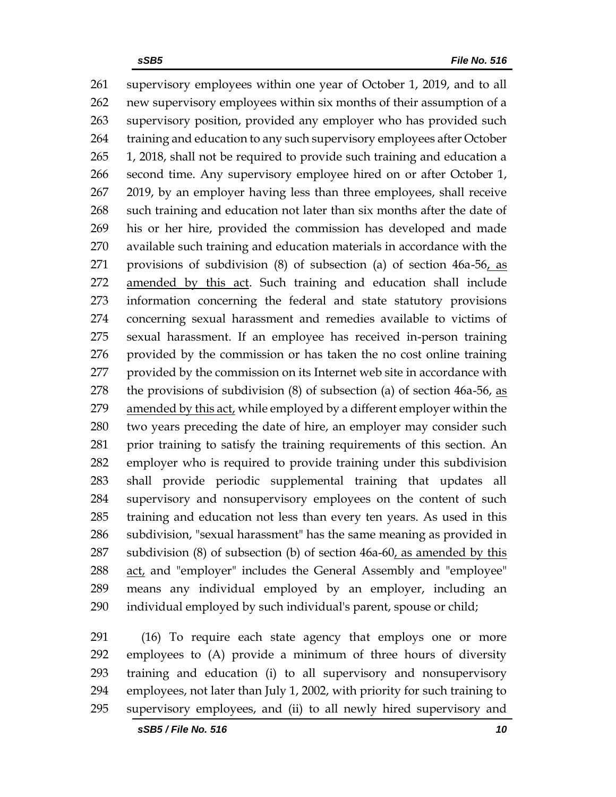supervisory employees within one year of October 1, 2019, and to all new supervisory employees within six months of their assumption of a supervisory position, provided any employer who has provided such 264 training and education to any such supervisory employees after October 1, 2018, shall not be required to provide such training and education a second time. Any supervisory employee hired on or after October 1, 2019, by an employer having less than three employees, shall receive such training and education not later than six months after the date of his or her hire, provided the commission has developed and made available such training and education materials in accordance with the 271 provisions of subdivision  $(8)$  of subsection  $(a)$  of section  $46a-56$ , as amended by this act. Such training and education shall include information concerning the federal and state statutory provisions concerning sexual harassment and remedies available to victims of sexual harassment. If an employee has received in-person training provided by the commission or has taken the no cost online training provided by the commission on its Internet web site in accordance with the provisions of subdivision (8) of subsection (a) of section 46a-56, as amended by this act, while employed by a different employer within the two years preceding the date of hire, an employer may consider such prior training to satisfy the training requirements of this section. An employer who is required to provide training under this subdivision shall provide periodic supplemental training that updates all supervisory and nonsupervisory employees on the content of such training and education not less than every ten years. As used in this subdivision, "sexual harassment" has the same meaning as provided in subdivision (8) of subsection (b) of section 46a-60, as amended by this act, and "employer" includes the General Assembly and "employee" means any individual employed by an employer, including an individual employed by such individual's parent, spouse or child;

 (16) To require each state agency that employs one or more employees to (A) provide a minimum of three hours of diversity training and education (i) to all supervisory and nonsupervisory employees, not later than July 1, 2002, with priority for such training to supervisory employees, and (ii) to all newly hired supervisory and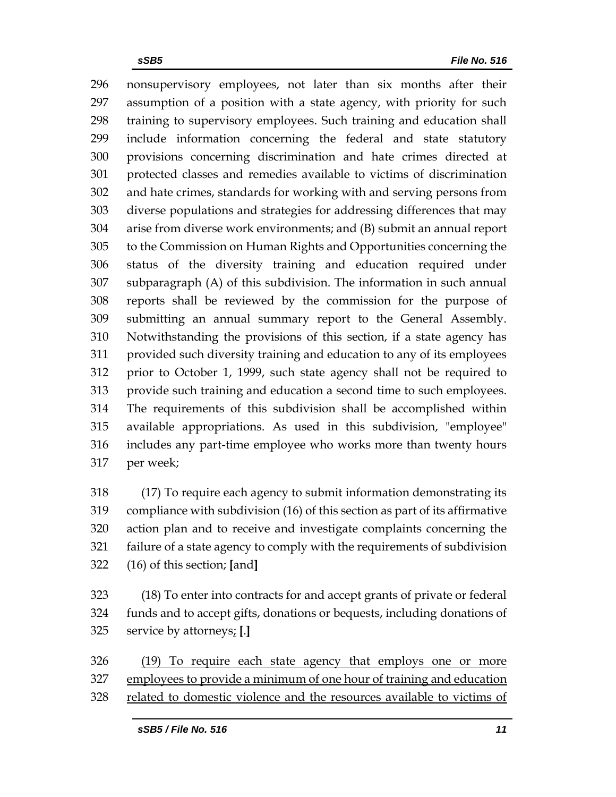nonsupervisory employees, not later than six months after their assumption of a position with a state agency, with priority for such training to supervisory employees. Such training and education shall include information concerning the federal and state statutory provisions concerning discrimination and hate crimes directed at protected classes and remedies available to victims of discrimination and hate crimes, standards for working with and serving persons from diverse populations and strategies for addressing differences that may arise from diverse work environments; and (B) submit an annual report to the Commission on Human Rights and Opportunities concerning the status of the diversity training and education required under subparagraph (A) of this subdivision. The information in such annual reports shall be reviewed by the commission for the purpose of submitting an annual summary report to the General Assembly. Notwithstanding the provisions of this section, if a state agency has provided such diversity training and education to any of its employees prior to October 1, 1999, such state agency shall not be required to provide such training and education a second time to such employees. The requirements of this subdivision shall be accomplished within available appropriations. As used in this subdivision, "employee" includes any part-time employee who works more than twenty hours per week;

 (17) To require each agency to submit information demonstrating its compliance with subdivision (16) of this section as part of its affirmative action plan and to receive and investigate complaints concerning the failure of a state agency to comply with the requirements of subdivision (16) of this section; **[**and**]**

 (18) To enter into contracts for and accept grants of private or federal funds and to accept gifts, donations or bequests, including donations of service by attorneys; **[**.**]**

326 (19) To require each state agency that employs one or more employees to provide a minimum of one hour of training and education related to domestic violence and the resources available to victims of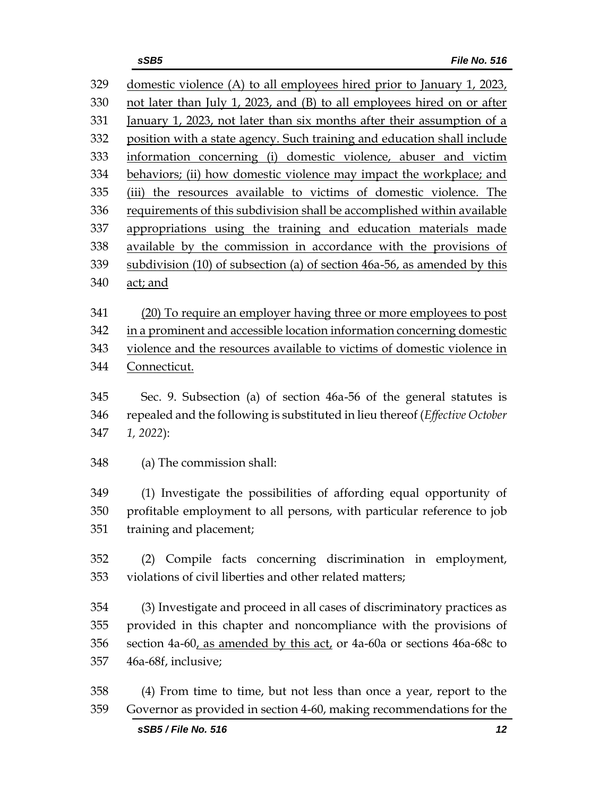| 329 | domestic violence (A) to all employees hired prior to January 1, 2023,       |
|-----|------------------------------------------------------------------------------|
| 330 | not later than July 1, 2023, and (B) to all employees hired on or after      |
| 331 | January 1, 2023, not later than six months after their assumption of a       |
| 332 | position with a state agency. Such training and education shall include      |
| 333 | information concerning (i) domestic violence, abuser and victim              |
| 334 | behaviors; (ii) how domestic violence may impact the workplace; and          |
| 335 | (iii) the resources available to victims of domestic violence. The           |
| 336 | requirements of this subdivision shall be accomplished within available      |
| 337 | appropriations using the training and education materials made               |
| 338 | available by the commission in accordance with the provisions of             |
| 339 | subdivision (10) of subsection (a) of section 46a-56, as amended by this     |
| 340 | act; and                                                                     |
|     |                                                                              |
| 341 | (20) To require an employer having three or more employees to post           |
| 342 | in a prominent and accessible location information concerning domestic       |
| 343 | violence and the resources available to victims of domestic violence in      |
| 344 | Connecticut.                                                                 |
| 345 | Sec. 9. Subsection (a) of section 46a-56 of the general statutes is          |
| 346 | repealed and the following is substituted in lieu thereof (Effective October |
| 347 | 1, 2022):                                                                    |
|     |                                                                              |
| 348 | (a) The commission shall:                                                    |
| 349 | (1) Investigate the possibilities of affording equal opportunity of          |
| 350 | profitable employment to all persons, with particular reference to job       |
| 351 | training and placement;                                                      |
|     |                                                                              |
| 352 | (2) Compile facts concerning discrimination in employment,                   |
| 353 | violations of civil liberties and other related matters;                     |
|     |                                                                              |
| 354 | (3) Investigate and proceed in all cases of discriminatory practices as      |
| 355 | provided in this chapter and noncompliance with the provisions of            |
| 356 | section 4a-60, as amended by this act, or 4a-60a or sections 46a-68c to      |
| 357 | 46a-68f, inclusive;                                                          |
| 358 | (4) From time to time, but not less than once a year, report to the          |
| 359 | Governor as provided in section 4-60, making recommendations for the         |
|     |                                                                              |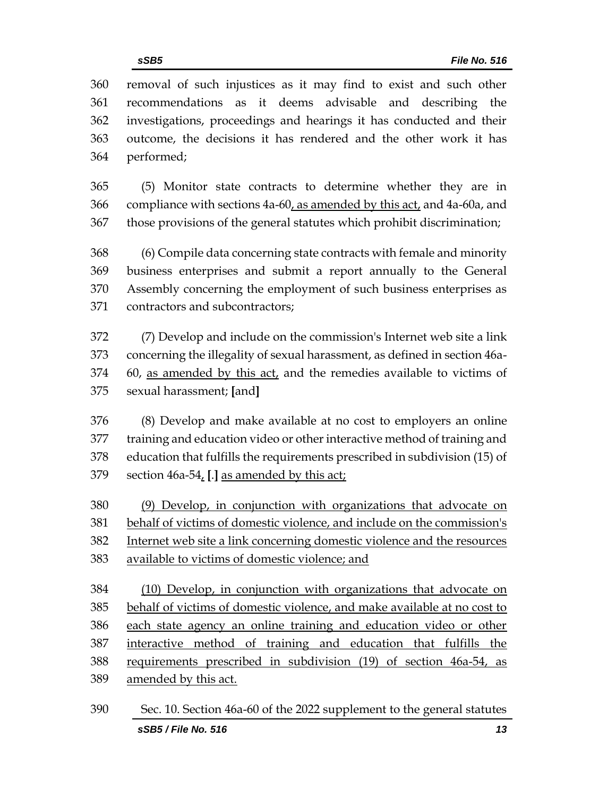removal of such injustices as it may find to exist and such other recommendations as it deems advisable and describing the investigations, proceedings and hearings it has conducted and their outcome, the decisions it has rendered and the other work it has performed;

 (5) Monitor state contracts to determine whether they are in compliance with sections 4a-60, as amended by this act, and 4a-60a, and those provisions of the general statutes which prohibit discrimination;

 (6) Compile data concerning state contracts with female and minority business enterprises and submit a report annually to the General Assembly concerning the employment of such business enterprises as contractors and subcontractors;

 (7) Develop and include on the commission's Internet web site a link concerning the illegality of sexual harassment, as defined in section 46a- 60, as amended by this act, and the remedies available to victims of sexual harassment; **[**and**]**

 (8) Develop and make available at no cost to employers an online training and education video or other interactive method of training and education that fulfills the requirements prescribed in subdivision (15) of section 46a-54, **[**.**]** as amended by this act;

 (9) Develop, in conjunction with organizations that advocate on behalf of victims of domestic violence, and include on the commission's Internet web site a link concerning domestic violence and the resources available to victims of domestic violence; and

 (10) Develop, in conjunction with organizations that advocate on behalf of victims of domestic violence, and make available at no cost to each state agency an online training and education video or other interactive method of training and education that fulfills the requirements prescribed in subdivision (19) of section 46a-54, as amended by this act.

*sSB5 / File No. 516 13* Sec. 10. Section 46a-60 of the 2022 supplement to the general statutes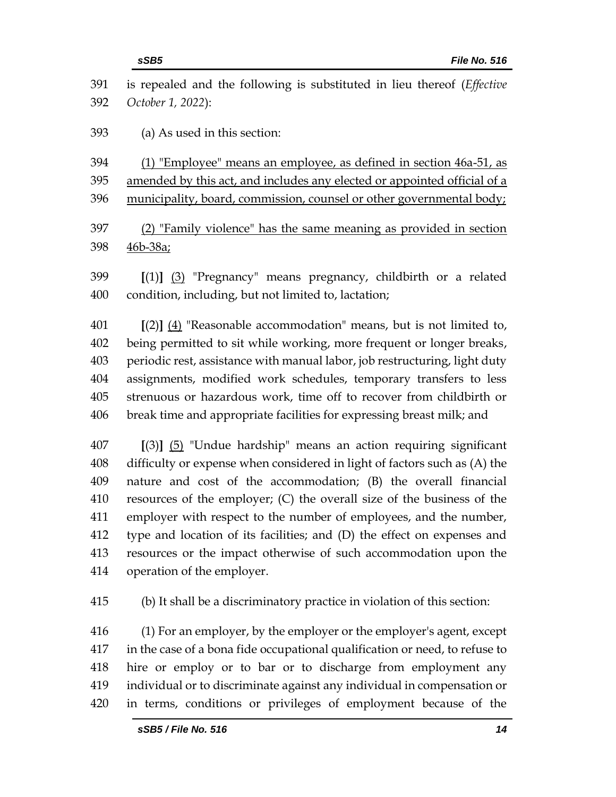|            | sSB5<br><b>File No. 516</b>                                                                  |
|------------|----------------------------------------------------------------------------------------------|
| 391<br>392 | is repealed and the following is substituted in lieu thereof (Effective<br>October 1, 2022): |
| 393        | (a) As used in this section:                                                                 |
|            |                                                                                              |
| 394        | (1) "Employee" means an employee, as defined in section 46a-51, as                           |
| 395        | amended by this act, and includes any elected or appointed official of a                     |
| 396        | municipality, board, commission, counsel or other governmental body;                         |
| 397        | (2) "Family violence" has the same meaning as provided in section                            |
| 398        | <u>46b-38a;</u>                                                                              |
|            |                                                                                              |
| 399        | $[(1)]$ $(3)$ "Pregnancy" means pregnancy, childbirth or a related                           |
| 400        | condition, including, but not limited to, lactation;                                         |
| 401        | $[(2)]$ $(4)$ "Reasonable accommodation" means, but is not limited to,                       |
| 402        | being permitted to sit while working, more frequent or longer breaks,                        |
| 403        | periodic rest, assistance with manual labor, job restructuring, light duty                   |
| 404        | assignments, modified work schedules, temporary transfers to less                            |
| 405        | strenuous or hazardous work, time off to recover from childbirth or                          |
| 406        | break time and appropriate facilities for expressing breast milk; and                        |
| 407        | $[(3)]$ $(5)$ "Undue hardship" means an action requiring significant                         |
| 408        | difficulty or expense when considered in light of factors such as (A) the                    |
| 409        | nature and cost of the accommodation; (B) the overall financial                              |
| 410        | resources of the employer; (C) the overall size of the business of the                       |
| 411        | employer with respect to the number of employees, and the number,                            |
| 412        | type and location of its facilities; and (D) the effect on expenses and                      |
| 413        | resources or the impact otherwise of such accommodation upon the                             |
| 414        | operation of the employer.                                                                   |
| 415        | (b) It shall be a discriminatory practice in violation of this section:                      |
| 416        | (1) For an employer, by the employer or the employer's agent, except                         |
| 417        | in the case of a bona fide occupational qualification or need, to refuse to                  |
| 418        | hire or employ or to bar or to discharge from employment any                                 |
| 419        | individual or to discriminate against any individual in compensation or                      |
| 420        | in terms, conditions or privileges of employment because of the                              |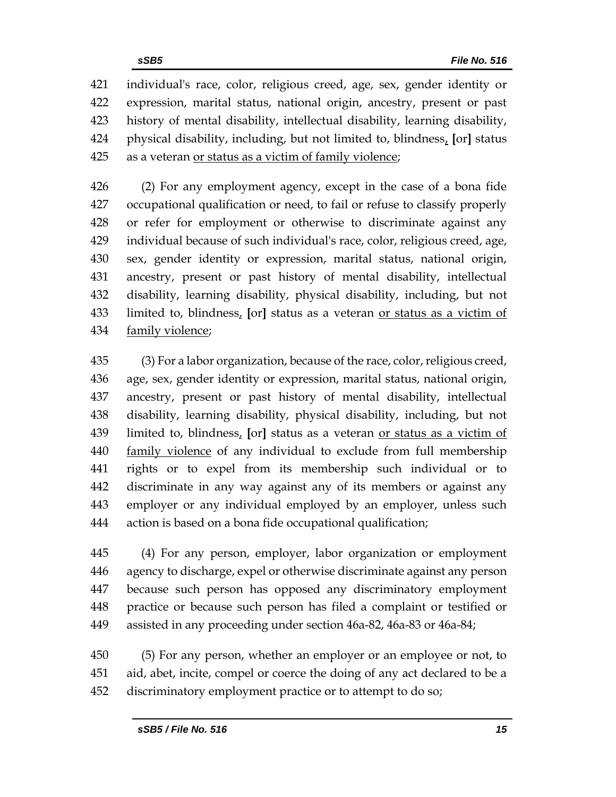individual's race, color, religious creed, age, sex, gender identity or expression, marital status, national origin, ancestry, present or past history of mental disability, intellectual disability, learning disability, physical disability, including, but not limited to, blindness, **[**or**]** status as a veteran or status as a victim of family violence;

 (2) For any employment agency, except in the case of a bona fide occupational qualification or need, to fail or refuse to classify properly or refer for employment or otherwise to discriminate against any individual because of such individual's race, color, religious creed, age, sex, gender identity or expression, marital status, national origin, ancestry, present or past history of mental disability, intellectual disability, learning disability, physical disability, including, but not limited to, blindness, **[**or**]** status as a veteran or status as a victim of family violence;

 (3) For a labor organization, because of the race, color, religious creed, age, sex, gender identity or expression, marital status, national origin, ancestry, present or past history of mental disability, intellectual disability, learning disability, physical disability, including, but not limited to, blindness, **[**or**]** status as a veteran or status as a victim of 440 family violence of any individual to exclude from full membership rights or to expel from its membership such individual or to discriminate in any way against any of its members or against any employer or any individual employed by an employer, unless such action is based on a bona fide occupational qualification;

 (4) For any person, employer, labor organization or employment agency to discharge, expel or otherwise discriminate against any person because such person has opposed any discriminatory employment practice or because such person has filed a complaint or testified or assisted in any proceeding under section 46a-82, 46a-83 or 46a-84;

 (5) For any person, whether an employer or an employee or not, to aid, abet, incite, compel or coerce the doing of any act declared to be a discriminatory employment practice or to attempt to do so;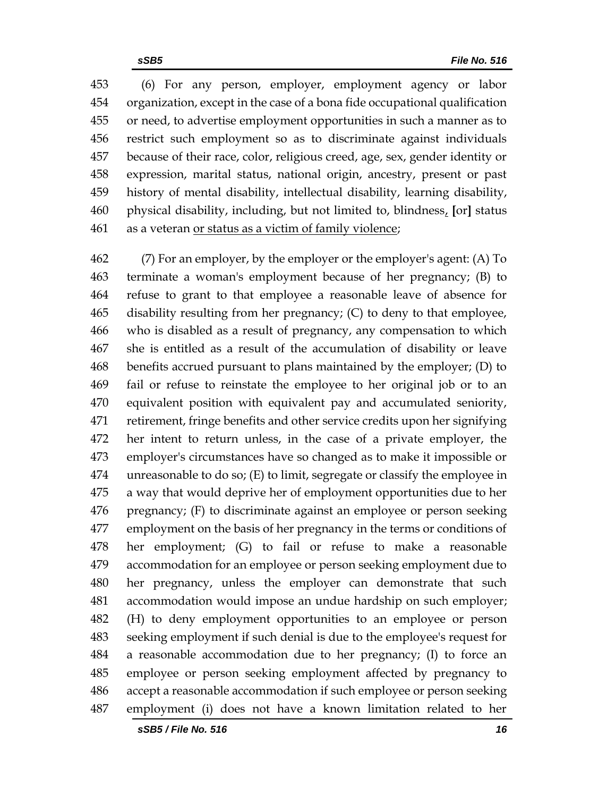(6) For any person, employer, employment agency or labor organization, except in the case of a bona fide occupational qualification or need, to advertise employment opportunities in such a manner as to restrict such employment so as to discriminate against individuals because of their race, color, religious creed, age, sex, gender identity or expression, marital status, national origin, ancestry, present or past history of mental disability, intellectual disability, learning disability, physical disability, including, but not limited to, blindness, **[**or**]** status as a veteran or status as a victim of family violence;

 (7) For an employer, by the employer or the employer's agent: (A) To terminate a woman's employment because of her pregnancy; (B) to refuse to grant to that employee a reasonable leave of absence for disability resulting from her pregnancy; (C) to deny to that employee, who is disabled as a result of pregnancy, any compensation to which she is entitled as a result of the accumulation of disability or leave benefits accrued pursuant to plans maintained by the employer; (D) to fail or refuse to reinstate the employee to her original job or to an equivalent position with equivalent pay and accumulated seniority, retirement, fringe benefits and other service credits upon her signifying her intent to return unless, in the case of a private employer, the employer's circumstances have so changed as to make it impossible or unreasonable to do so; (E) to limit, segregate or classify the employee in a way that would deprive her of employment opportunities due to her pregnancy; (F) to discriminate against an employee or person seeking employment on the basis of her pregnancy in the terms or conditions of her employment; (G) to fail or refuse to make a reasonable accommodation for an employee or person seeking employment due to her pregnancy, unless the employer can demonstrate that such accommodation would impose an undue hardship on such employer; (H) to deny employment opportunities to an employee or person seeking employment if such denial is due to the employee's request for a reasonable accommodation due to her pregnancy; (I) to force an employee or person seeking employment affected by pregnancy to accept a reasonable accommodation if such employee or person seeking employment (i) does not have a known limitation related to her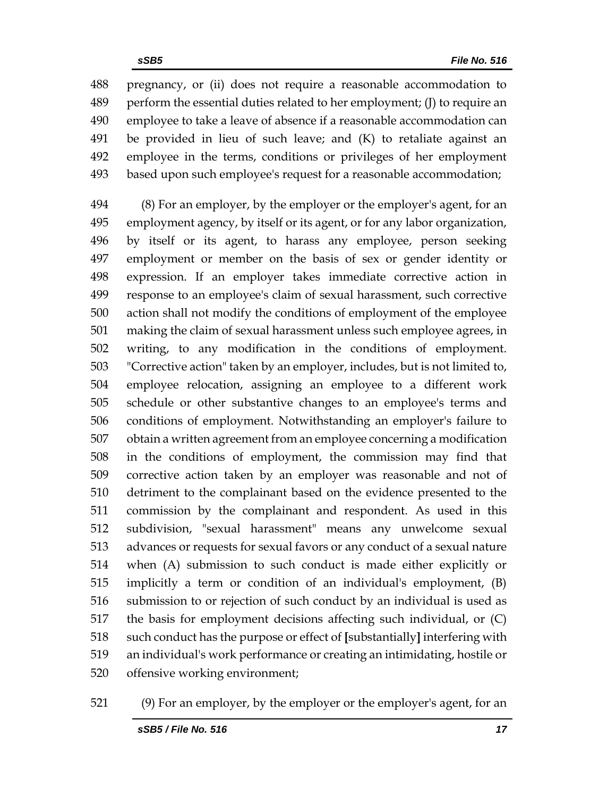pregnancy, or (ii) does not require a reasonable accommodation to perform the essential duties related to her employment; (J) to require an employee to take a leave of absence if a reasonable accommodation can be provided in lieu of such leave; and (K) to retaliate against an employee in the terms, conditions or privileges of her employment based upon such employee's request for a reasonable accommodation;

 (8) For an employer, by the employer or the employer's agent, for an employment agency, by itself or its agent, or for any labor organization, by itself or its agent, to harass any employee, person seeking employment or member on the basis of sex or gender identity or expression. If an employer takes immediate corrective action in response to an employee's claim of sexual harassment, such corrective action shall not modify the conditions of employment of the employee making the claim of sexual harassment unless such employee agrees, in writing, to any modification in the conditions of employment. "Corrective action" taken by an employer, includes, but is not limited to, employee relocation, assigning an employee to a different work schedule or other substantive changes to an employee's terms and conditions of employment. Notwithstanding an employer's failure to obtain a written agreement from an employee concerning a modification in the conditions of employment, the commission may find that corrective action taken by an employer was reasonable and not of detriment to the complainant based on the evidence presented to the commission by the complainant and respondent. As used in this subdivision, "sexual harassment" means any unwelcome sexual advances or requests for sexual favors or any conduct of a sexual nature when (A) submission to such conduct is made either explicitly or implicitly a term or condition of an individual's employment, (B) submission to or rejection of such conduct by an individual is used as the basis for employment decisions affecting such individual, or (C) such conduct has the purpose or effect of **[**substantially**]** interfering with an individual's work performance or creating an intimidating, hostile or offensive working environment;

(9) For an employer, by the employer or the employer's agent, for an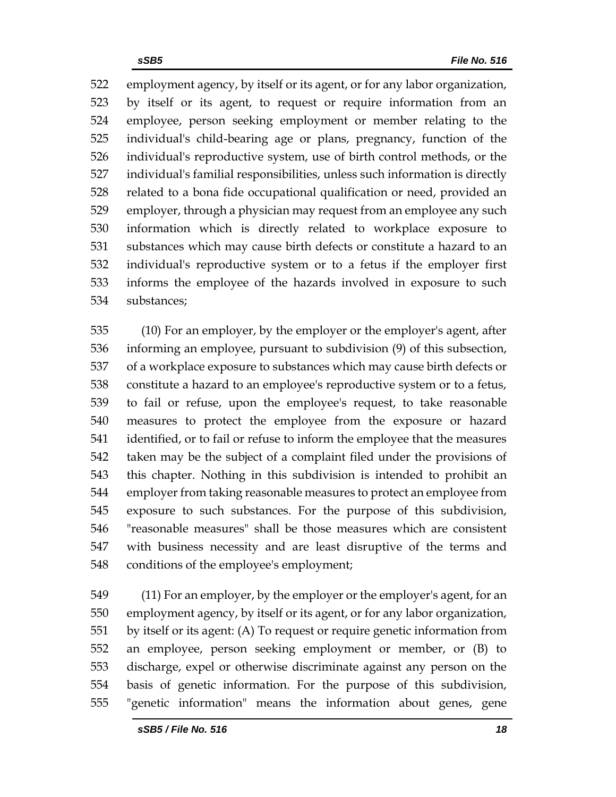employment agency, by itself or its agent, or for any labor organization, by itself or its agent, to request or require information from an employee, person seeking employment or member relating to the individual's child-bearing age or plans, pregnancy, function of the individual's reproductive system, use of birth control methods, or the individual's familial responsibilities, unless such information is directly related to a bona fide occupational qualification or need, provided an employer, through a physician may request from an employee any such information which is directly related to workplace exposure to substances which may cause birth defects or constitute a hazard to an individual's reproductive system or to a fetus if the employer first informs the employee of the hazards involved in exposure to such substances;

 (10) For an employer, by the employer or the employer's agent, after informing an employee, pursuant to subdivision (9) of this subsection, of a workplace exposure to substances which may cause birth defects or constitute a hazard to an employee's reproductive system or to a fetus, to fail or refuse, upon the employee's request, to take reasonable measures to protect the employee from the exposure or hazard identified, or to fail or refuse to inform the employee that the measures taken may be the subject of a complaint filed under the provisions of this chapter. Nothing in this subdivision is intended to prohibit an employer from taking reasonable measures to protect an employee from exposure to such substances. For the purpose of this subdivision, "reasonable measures" shall be those measures which are consistent with business necessity and are least disruptive of the terms and conditions of the employee's employment;

 (11) For an employer, by the employer or the employer's agent, for an employment agency, by itself or its agent, or for any labor organization, by itself or its agent: (A) To request or require genetic information from an employee, person seeking employment or member, or (B) to discharge, expel or otherwise discriminate against any person on the basis of genetic information. For the purpose of this subdivision, "genetic information" means the information about genes, gene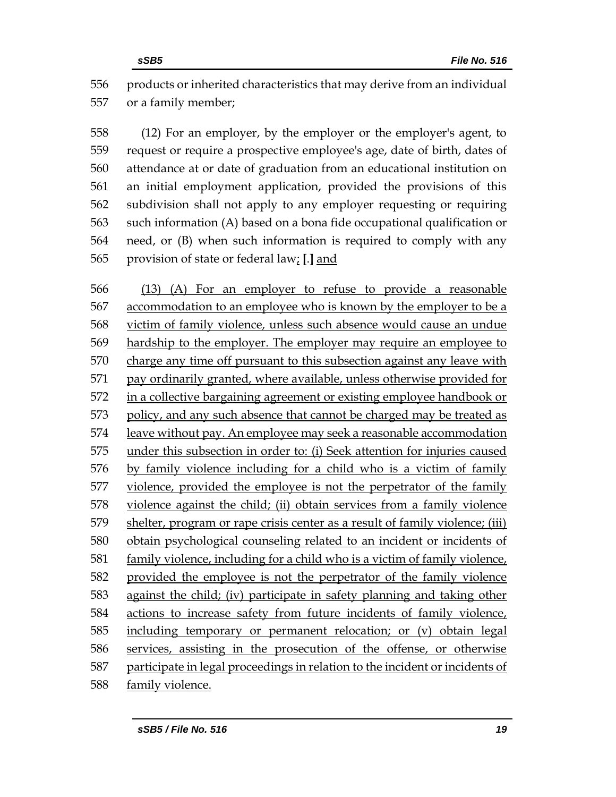products or inherited characteristics that may derive from an individual or a family member;

 (12) For an employer, by the employer or the employer's agent, to request or require a prospective employee's age, date of birth, dates of attendance at or date of graduation from an educational institution on an initial employment application, provided the provisions of this subdivision shall not apply to any employer requesting or requiring such information (A) based on a bona fide occupational qualification or need, or (B) when such information is required to comply with any provision of state or federal law; **[**.**]** and

 (13) (A) For an employer to refuse to provide a reasonable accommodation to an employee who is known by the employer to be a victim of family violence, unless such absence would cause an undue hardship to the employer. The employer may require an employee to charge any time off pursuant to this subsection against any leave with pay ordinarily granted, where available, unless otherwise provided for in a collective bargaining agreement or existing employee handbook or policy, and any such absence that cannot be charged may be treated as leave without pay. An employee may seek a reasonable accommodation under this subsection in order to: (i) Seek attention for injuries caused by family violence including for a child who is a victim of family violence, provided the employee is not the perpetrator of the family violence against the child; (ii) obtain services from a family violence shelter, program or rape crisis center as a result of family violence; (iii) obtain psychological counseling related to an incident or incidents of family violence, including for a child who is a victim of family violence, provided the employee is not the perpetrator of the family violence against the child; (iv) participate in safety planning and taking other actions to increase safety from future incidents of family violence, including temporary or permanent relocation; or (v) obtain legal 586 services, assisting in the prosecution of the offense, or otherwise participate in legal proceedings in relation to the incident or incidents of family violence.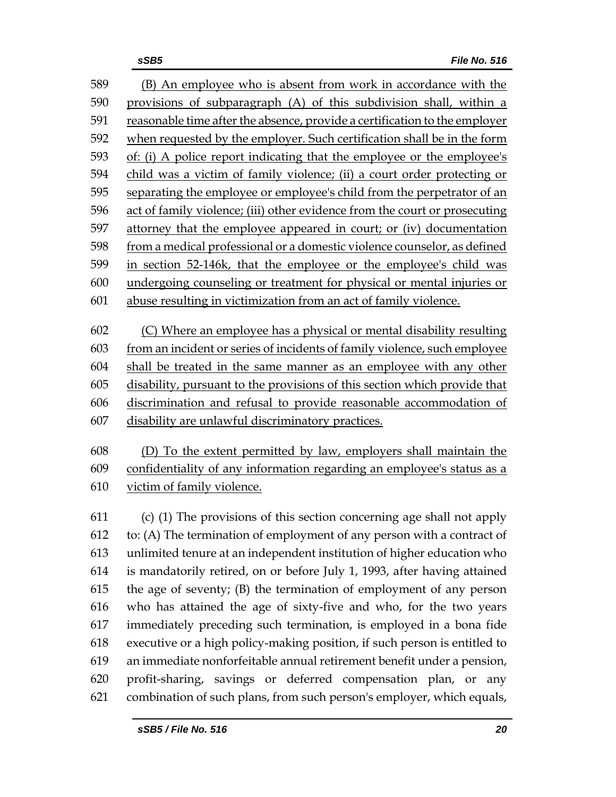(B) An employee who is absent from work in accordance with the provisions of subparagraph (A) of this subdivision shall, within a reasonable time after the absence, provide a certification to the employer when requested by the employer. Such certification shall be in the form of: (i) A police report indicating that the employee or the employee's child was a victim of family violence; (ii) a court order protecting or separating the employee or employee's child from the perpetrator of an act of family violence; (iii) other evidence from the court or prosecuting attorney that the employee appeared in court; or (iv) documentation from a medical professional or a domestic violence counselor, as defined in section 52-146k, that the employee or the employee's child was undergoing counseling or treatment for physical or mental injuries or abuse resulting in victimization from an act of family violence. (C) Where an employee has a physical or mental disability resulting from an incident or series of incidents of family violence, such employee shall be treated in the same manner as an employee with any other disability, pursuant to the provisions of this section which provide that discrimination and refusal to provide reasonable accommodation of disability are unlawful discriminatory practices. (D) To the extent permitted by law, employers shall maintain the confidentiality of any information regarding an employee's status as a victim of family violence. (c) (1) The provisions of this section concerning age shall not apply to: (A) The termination of employment of any person with a contract of unlimited tenure at an independent institution of higher education who is mandatorily retired, on or before July 1, 1993, after having attained the age of seventy; (B) the termination of employment of any person who has attained the age of sixty-five and who, for the two years immediately preceding such termination, is employed in a bona fide executive or a high policy-making position, if such person is entitled to an immediate nonforfeitable annual retirement benefit under a pension, profit-sharing, savings or deferred compensation plan, or any combination of such plans, from such person's employer, which equals,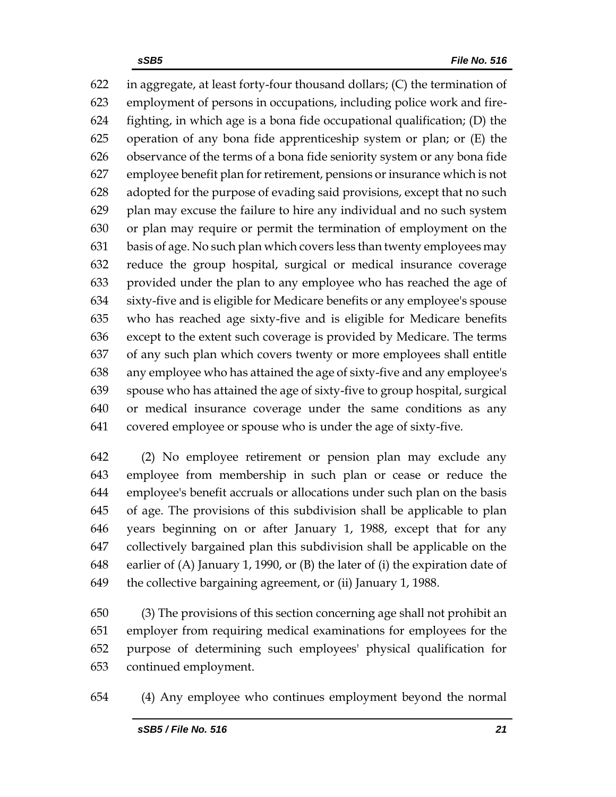622 in aggregate, at least forty-four thousand dollars;  $(C)$  the termination of employment of persons in occupations, including police work and fire- fighting, in which age is a bona fide occupational qualification; (D) the operation of any bona fide apprenticeship system or plan; or (E) the observance of the terms of a bona fide seniority system or any bona fide employee benefit plan for retirement, pensions or insurance which is not adopted for the purpose of evading said provisions, except that no such plan may excuse the failure to hire any individual and no such system or plan may require or permit the termination of employment on the basis of age. No such plan which covers less than twenty employees may reduce the group hospital, surgical or medical insurance coverage provided under the plan to any employee who has reached the age of sixty-five and is eligible for Medicare benefits or any employee's spouse who has reached age sixty-five and is eligible for Medicare benefits except to the extent such coverage is provided by Medicare. The terms of any such plan which covers twenty or more employees shall entitle any employee who has attained the age of sixty-five and any employee's spouse who has attained the age of sixty-five to group hospital, surgical or medical insurance coverage under the same conditions as any covered employee or spouse who is under the age of sixty-five.

 (2) No employee retirement or pension plan may exclude any employee from membership in such plan or cease or reduce the employee's benefit accruals or allocations under such plan on the basis of age. The provisions of this subdivision shall be applicable to plan years beginning on or after January 1, 1988, except that for any collectively bargained plan this subdivision shall be applicable on the earlier of (A) January 1, 1990, or (B) the later of (i) the expiration date of the collective bargaining agreement, or (ii) January 1, 1988.

 (3) The provisions of this section concerning age shall not prohibit an employer from requiring medical examinations for employees for the purpose of determining such employees' physical qualification for continued employment.

(4) Any employee who continues employment beyond the normal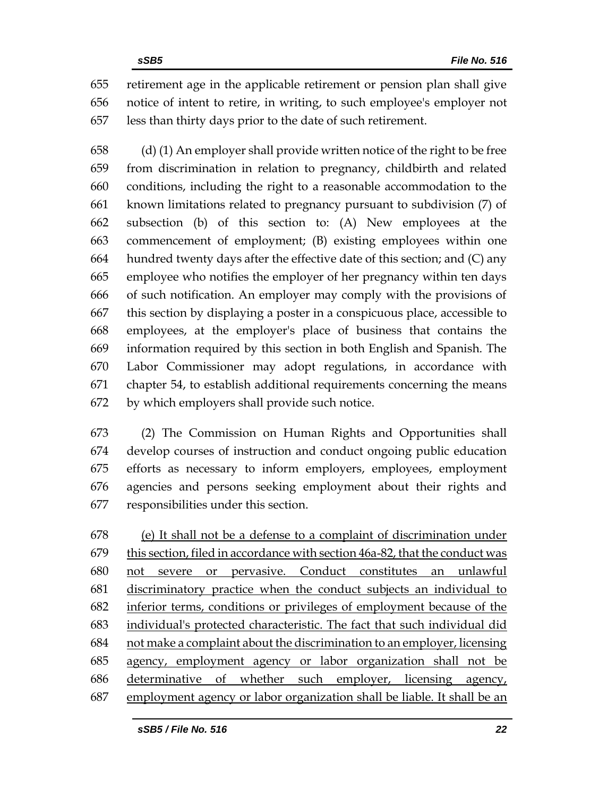retirement age in the applicable retirement or pension plan shall give notice of intent to retire, in writing, to such employee's employer not less than thirty days prior to the date of such retirement.

 (d) (1) An employer shall provide written notice of the right to be free from discrimination in relation to pregnancy, childbirth and related conditions, including the right to a reasonable accommodation to the known limitations related to pregnancy pursuant to subdivision (7) of subsection (b) of this section to: (A) New employees at the commencement of employment; (B) existing employees within one hundred twenty days after the effective date of this section; and (C) any employee who notifies the employer of her pregnancy within ten days of such notification. An employer may comply with the provisions of this section by displaying a poster in a conspicuous place, accessible to employees, at the employer's place of business that contains the information required by this section in both English and Spanish. The Labor Commissioner may adopt regulations, in accordance with chapter 54, to establish additional requirements concerning the means by which employers shall provide such notice.

 (2) The Commission on Human Rights and Opportunities shall develop courses of instruction and conduct ongoing public education efforts as necessary to inform employers, employees, employment agencies and persons seeking employment about their rights and responsibilities under this section.

 (e) It shall not be a defense to a complaint of discrimination under this section, filed in accordance with section 46a-82, that the conduct was not severe or pervasive. Conduct constitutes an unlawful discriminatory practice when the conduct subjects an individual to inferior terms, conditions or privileges of employment because of the individual's protected characteristic. The fact that such individual did not make a complaint about the discrimination to an employer, licensing agency, employment agency or labor organization shall not be determinative of whether such employer, licensing agency, employment agency or labor organization shall be liable. It shall be an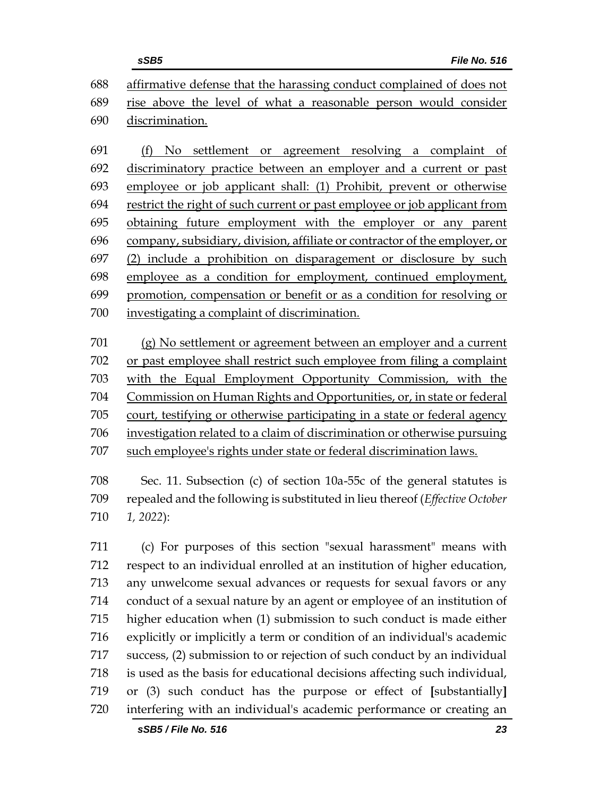| <b>File No. 516</b><br>sSB5                                               |
|---------------------------------------------------------------------------|
| 688 affirmative defense that the harassing conduct complained of does not |
| 689 rise above the level of what a reasonable person would consider       |
| 690 discrimination.                                                       |

 (f) No settlement or agreement resolving a complaint of discriminatory practice between an employer and a current or past employee or job applicant shall: (1) Prohibit, prevent or otherwise restrict the right of such current or past employee or job applicant from obtaining future employment with the employer or any parent company, subsidiary, division, affiliate or contractor of the employer, or (2) include a prohibition on disparagement or disclosure by such employee as a condition for employment, continued employment, promotion, compensation or benefit or as a condition for resolving or investigating a complaint of discrimination.

 (g) No settlement or agreement between an employer and a current or past employee shall restrict such employee from filing a complaint with the Equal Employment Opportunity Commission, with the Commission on Human Rights and Opportunities, or, in state or federal court, testifying or otherwise participating in a state or federal agency investigation related to a claim of discrimination or otherwise pursuing such employee's rights under state or federal discrimination laws.

 Sec. 11. Subsection (c) of section 10a-55c of the general statutes is repealed and the following is substituted in lieu thereof (*Effective October 1, 2022*):

 (c) For purposes of this section "sexual harassment" means with respect to an individual enrolled at an institution of higher education, any unwelcome sexual advances or requests for sexual favors or any conduct of a sexual nature by an agent or employee of an institution of higher education when (1) submission to such conduct is made either explicitly or implicitly a term or condition of an individual's academic success, (2) submission to or rejection of such conduct by an individual is used as the basis for educational decisions affecting such individual, or (3) such conduct has the purpose or effect of **[**substantially**]** interfering with an individual's academic performance or creating an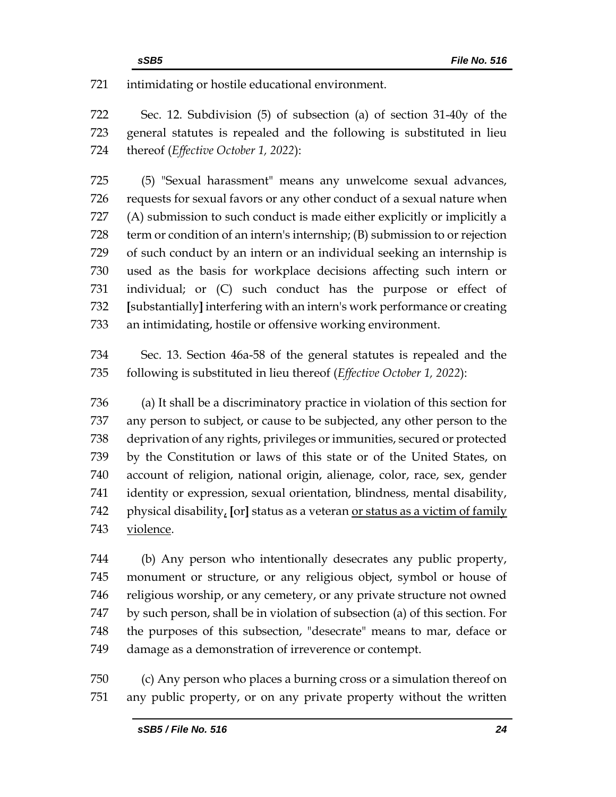intimidating or hostile educational environment.

 Sec. 12. Subdivision (5) of subsection (a) of section 31-40y of the general statutes is repealed and the following is substituted in lieu thereof (*Effective October 1, 2022*):

 (5) "Sexual harassment" means any unwelcome sexual advances, requests for sexual favors or any other conduct of a sexual nature when (A) submission to such conduct is made either explicitly or implicitly a term or condition of an intern's internship; (B) submission to or rejection of such conduct by an intern or an individual seeking an internship is used as the basis for workplace decisions affecting such intern or individual; or (C) such conduct has the purpose or effect of **[**substantially**]** interfering with an intern's work performance or creating an intimidating, hostile or offensive working environment.

 Sec. 13. Section 46a-58 of the general statutes is repealed and the following is substituted in lieu thereof (*Effective October 1, 2022*):

 (a) It shall be a discriminatory practice in violation of this section for any person to subject, or cause to be subjected, any other person to the deprivation of any rights, privileges or immunities, secured or protected by the Constitution or laws of this state or of the United States, on account of religion, national origin, alienage, color, race, sex, gender identity or expression, sexual orientation, blindness, mental disability, physical disability, **[**or**]** status as a veteran or status as a victim of family violence.

 (b) Any person who intentionally desecrates any public property, monument or structure, or any religious object, symbol or house of religious worship, or any cemetery, or any private structure not owned by such person, shall be in violation of subsection (a) of this section. For the purposes of this subsection, "desecrate" means to mar, deface or damage as a demonstration of irreverence or contempt.

 (c) Any person who places a burning cross or a simulation thereof on any public property, or on any private property without the written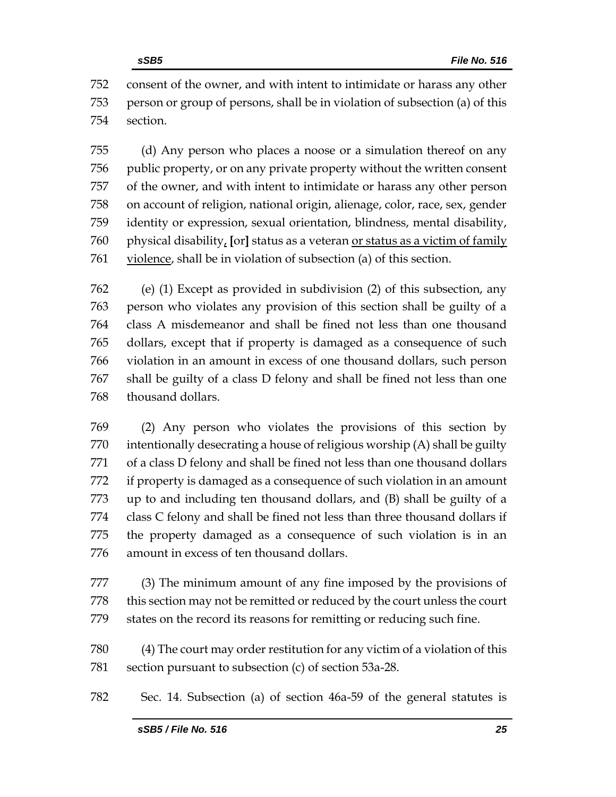consent of the owner, and with intent to intimidate or harass any other person or group of persons, shall be in violation of subsection (a) of this section.

 (d) Any person who places a noose or a simulation thereof on any public property, or on any private property without the written consent of the owner, and with intent to intimidate or harass any other person on account of religion, national origin, alienage, color, race, sex, gender identity or expression, sexual orientation, blindness, mental disability, physical disability, **[**or**]** status as a veteran or status as a victim of family violence, shall be in violation of subsection (a) of this section.

 (e) (1) Except as provided in subdivision (2) of this subsection, any person who violates any provision of this section shall be guilty of a class A misdemeanor and shall be fined not less than one thousand dollars, except that if property is damaged as a consequence of such violation in an amount in excess of one thousand dollars, such person shall be guilty of a class D felony and shall be fined not less than one thousand dollars.

 (2) Any person who violates the provisions of this section by intentionally desecrating a house of religious worship (A) shall be guilty of a class D felony and shall be fined not less than one thousand dollars if property is damaged as a consequence of such violation in an amount up to and including ten thousand dollars, and (B) shall be guilty of a class C felony and shall be fined not less than three thousand dollars if the property damaged as a consequence of such violation is in an amount in excess of ten thousand dollars.

 (3) The minimum amount of any fine imposed by the provisions of this section may not be remitted or reduced by the court unless the court states on the record its reasons for remitting or reducing such fine.

 (4) The court may order restitution for any victim of a violation of this section pursuant to subsection (c) of section 53a-28.

Sec. 14. Subsection (a) of section 46a-59 of the general statutes is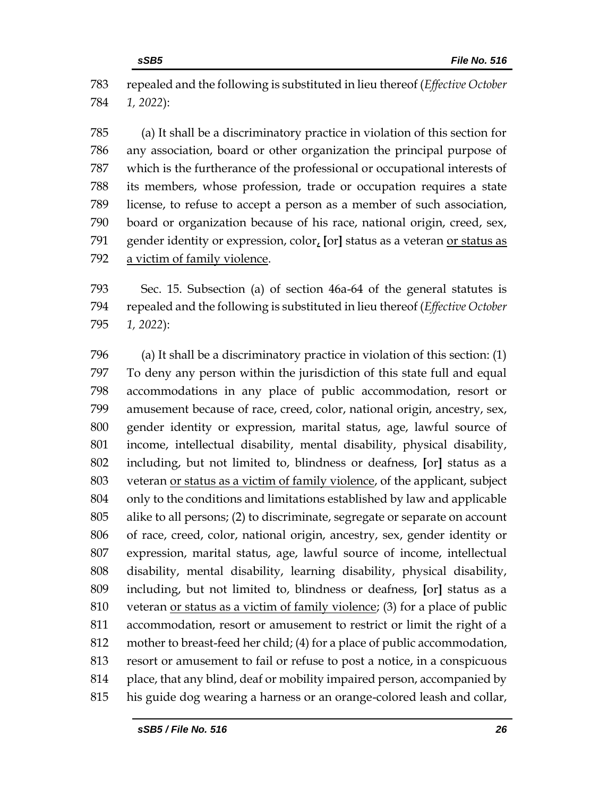repealed and the following is substituted in lieu thereof (*Effective October 1, 2022*):

 (a) It shall be a discriminatory practice in violation of this section for any association, board or other organization the principal purpose of which is the furtherance of the professional or occupational interests of its members, whose profession, trade or occupation requires a state license, to refuse to accept a person as a member of such association, board or organization because of his race, national origin, creed, sex, gender identity or expression, color, **[**or**]** status as a veteran or status as a victim of family violence.

 Sec. 15. Subsection (a) of section 46a-64 of the general statutes is repealed and the following is substituted in lieu thereof (*Effective October 1, 2022*):

 (a) It shall be a discriminatory practice in violation of this section: (1) To deny any person within the jurisdiction of this state full and equal accommodations in any place of public accommodation, resort or amusement because of race, creed, color, national origin, ancestry, sex, gender identity or expression, marital status, age, lawful source of income, intellectual disability, mental disability, physical disability, including, but not limited to, blindness or deafness, **[**or**]** status as a veteran or status as a victim of family violence, of the applicant, subject only to the conditions and limitations established by law and applicable alike to all persons; (2) to discriminate, segregate or separate on account of race, creed, color, national origin, ancestry, sex, gender identity or expression, marital status, age, lawful source of income, intellectual disability, mental disability, learning disability, physical disability, including, but not limited to, blindness or deafness, **[**or**]** status as a veteran or status as a victim of family violence; (3) for a place of public accommodation, resort or amusement to restrict or limit the right of a mother to breast-feed her child; (4) for a place of public accommodation, resort or amusement to fail or refuse to post a notice, in a conspicuous 814 place, that any blind, deaf or mobility impaired person, accompanied by his guide dog wearing a harness or an orange-colored leash and collar,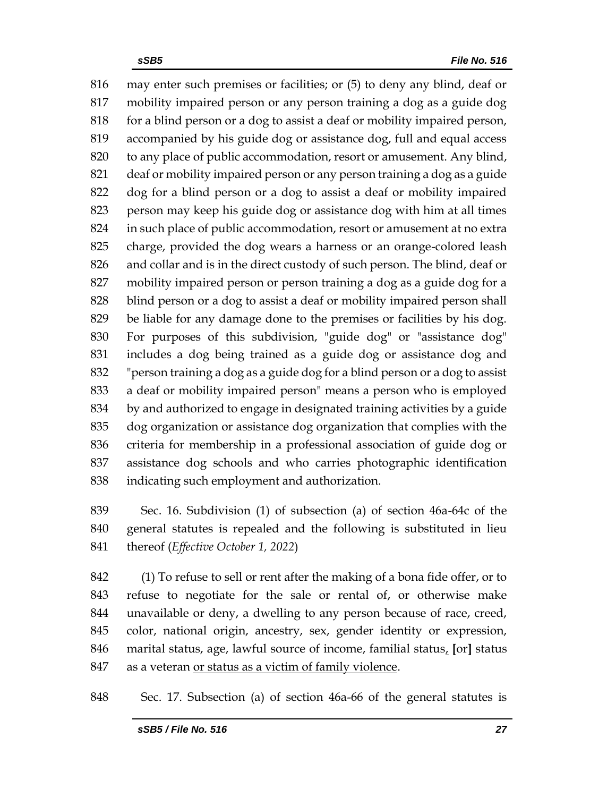may enter such premises or facilities; or (5) to deny any blind, deaf or mobility impaired person or any person training a dog as a guide dog for a blind person or a dog to assist a deaf or mobility impaired person, accompanied by his guide dog or assistance dog, full and equal access to any place of public accommodation, resort or amusement. Any blind, deaf or mobility impaired person or any person training a dog as a guide dog for a blind person or a dog to assist a deaf or mobility impaired person may keep his guide dog or assistance dog with him at all times in such place of public accommodation, resort or amusement at no extra charge, provided the dog wears a harness or an orange-colored leash and collar and is in the direct custody of such person. The blind, deaf or mobility impaired person or person training a dog as a guide dog for a blind person or a dog to assist a deaf or mobility impaired person shall be liable for any damage done to the premises or facilities by his dog. For purposes of this subdivision, "guide dog" or "assistance dog" includes a dog being trained as a guide dog or assistance dog and "person training a dog as a guide dog for a blind person or a dog to assist a deaf or mobility impaired person" means a person who is employed by and authorized to engage in designated training activities by a guide dog organization or assistance dog organization that complies with the criteria for membership in a professional association of guide dog or assistance dog schools and who carries photographic identification indicating such employment and authorization.

 Sec. 16. Subdivision (1) of subsection (a) of section 46a-64c of the general statutes is repealed and the following is substituted in lieu thereof (*Effective October 1, 2022*)

 (1) To refuse to sell or rent after the making of a bona fide offer, or to refuse to negotiate for the sale or rental of, or otherwise make unavailable or deny, a dwelling to any person because of race, creed, color, national origin, ancestry, sex, gender identity or expression, marital status, age, lawful source of income, familial status, **[**or**]** status 847 as a veteran or status as a victim of family violence.

Sec. 17. Subsection (a) of section 46a-66 of the general statutes is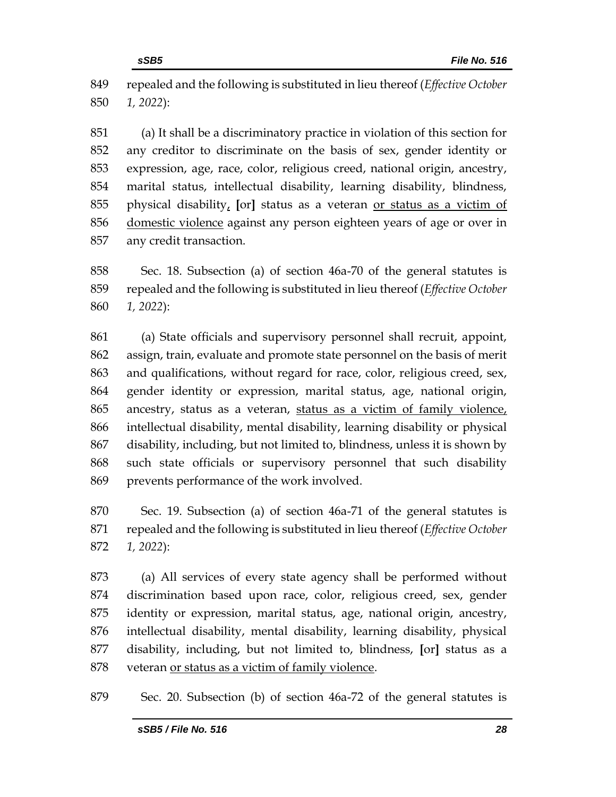repealed and the following is substituted in lieu thereof (*Effective October 1, 2022*):

 (a) It shall be a discriminatory practice in violation of this section for any creditor to discriminate on the basis of sex, gender identity or expression, age, race, color, religious creed, national origin, ancestry, marital status, intellectual disability, learning disability, blindness, physical disability, **[**or**]** status as a veteran or status as a victim of domestic violence against any person eighteen years of age or over in any credit transaction.

 Sec. 18. Subsection (a) of section 46a-70 of the general statutes is repealed and the following is substituted in lieu thereof (*Effective October 1, 2022*):

 (a) State officials and supervisory personnel shall recruit, appoint, assign, train, evaluate and promote state personnel on the basis of merit and qualifications, without regard for race, color, religious creed, sex, gender identity or expression, marital status, age, national origin, ancestry, status as a veteran, status as a victim of family violence, intellectual disability, mental disability, learning disability or physical disability, including, but not limited to, blindness, unless it is shown by such state officials or supervisory personnel that such disability prevents performance of the work involved.

 Sec. 19. Subsection (a) of section 46a-71 of the general statutes is repealed and the following is substituted in lieu thereof (*Effective October 1, 2022*):

 (a) All services of every state agency shall be performed without discrimination based upon race, color, religious creed, sex, gender identity or expression, marital status, age, national origin, ancestry, intellectual disability, mental disability, learning disability, physical disability, including, but not limited to, blindness, **[**or**]** status as a veteran or status as a victim of family violence.

Sec. 20. Subsection (b) of section 46a-72 of the general statutes is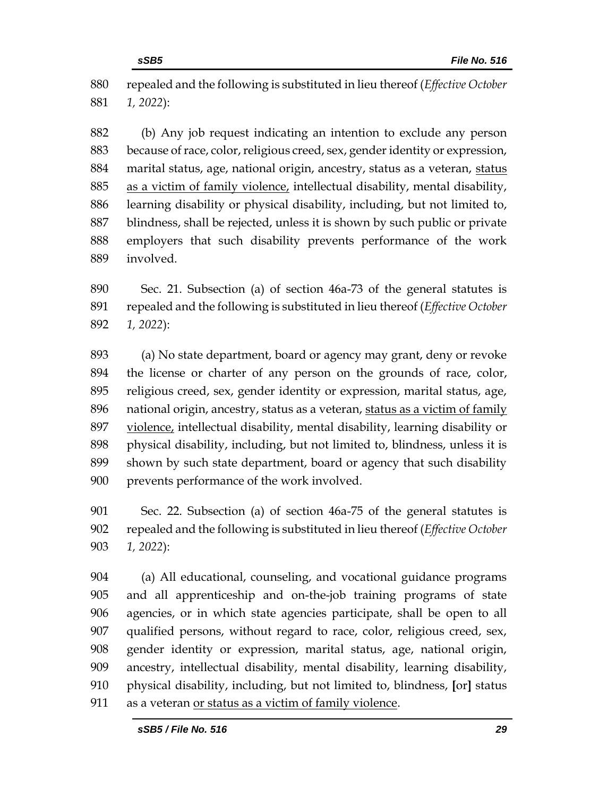repealed and the following is substituted in lieu thereof (*Effective October 1, 2022*):

 (b) Any job request indicating an intention to exclude any person because of race, color, religious creed, sex, gender identity or expression, 884 marital status, age, national origin, ancestry, status as a veteran, status as a victim of family violence, intellectual disability, mental disability, learning disability or physical disability, including, but not limited to, blindness, shall be rejected, unless it is shown by such public or private employers that such disability prevents performance of the work involved.

 Sec. 21. Subsection (a) of section 46a-73 of the general statutes is repealed and the following is substituted in lieu thereof (*Effective October 1, 2022*):

 (a) No state department, board or agency may grant, deny or revoke the license or charter of any person on the grounds of race, color, religious creed, sex, gender identity or expression, marital status, age, national origin, ancestry, status as a veteran, status as a victim of family violence, intellectual disability, mental disability, learning disability or physical disability, including, but not limited to, blindness, unless it is shown by such state department, board or agency that such disability prevents performance of the work involved.

 Sec. 22. Subsection (a) of section 46a-75 of the general statutes is repealed and the following is substituted in lieu thereof (*Effective October 1, 2022*):

 (a) All educational, counseling, and vocational guidance programs and all apprenticeship and on-the-job training programs of state agencies, or in which state agencies participate, shall be open to all qualified persons, without regard to race, color, religious creed, sex, gender identity or expression, marital status, age, national origin, ancestry, intellectual disability, mental disability, learning disability, physical disability, including, but not limited to, blindness, **[**or**]** status as a veteran or status as a victim of family violence.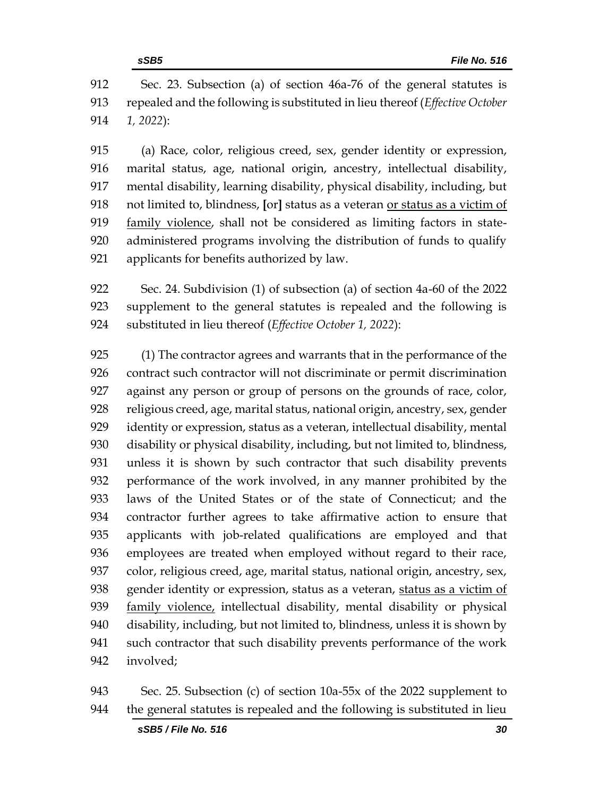Sec. 23. Subsection (a) of section 46a-76 of the general statutes is repealed and the following is substituted in lieu thereof (*Effective October 1, 2022*):

 (a) Race, color, religious creed, sex, gender identity or expression, marital status, age, national origin, ancestry, intellectual disability, mental disability, learning disability, physical disability, including, but not limited to, blindness, **[**or**]** status as a veteran or status as a victim of family violence, shall not be considered as limiting factors in state- administered programs involving the distribution of funds to qualify applicants for benefits authorized by law.

 Sec. 24. Subdivision (1) of subsection (a) of section 4a-60 of the 2022 supplement to the general statutes is repealed and the following is substituted in lieu thereof (*Effective October 1, 2022*):

 (1) The contractor agrees and warrants that in the performance of the contract such contractor will not discriminate or permit discrimination against any person or group of persons on the grounds of race, color, religious creed, age, marital status, national origin, ancestry, sex, gender identity or expression, status as a veteran, intellectual disability, mental disability or physical disability, including, but not limited to, blindness, unless it is shown by such contractor that such disability prevents performance of the work involved, in any manner prohibited by the laws of the United States or of the state of Connecticut; and the contractor further agrees to take affirmative action to ensure that applicants with job-related qualifications are employed and that employees are treated when employed without regard to their race, 937 color, religious creed, age, marital status, national origin, ancestry, sex, gender identity or expression, status as a veteran, status as a victim of 939 family violence, intellectual disability, mental disability or physical disability, including, but not limited to, blindness, unless it is shown by such contractor that such disability prevents performance of the work involved;

 Sec. 25. Subsection (c) of section 10a-55x of the 2022 supplement to the general statutes is repealed and the following is substituted in lieu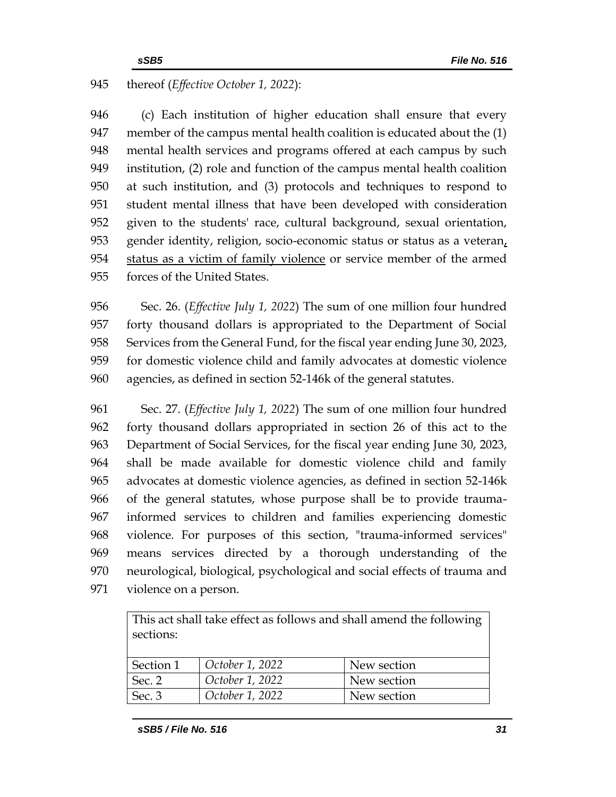# thereof (*Effective October 1, 2022*):

 (c) Each institution of higher education shall ensure that every member of the campus mental health coalition is educated about the (1) mental health services and programs offered at each campus by such institution, (2) role and function of the campus mental health coalition at such institution, and (3) protocols and techniques to respond to student mental illness that have been developed with consideration given to the students' race, cultural background, sexual orientation, gender identity, religion, socio-economic status or status as a veteran, status as a victim of family violence or service member of the armed forces of the United States.

 Sec. 26. (*Effective July 1, 2022*) The sum of one million four hundred forty thousand dollars is appropriated to the Department of Social Services from the General Fund, for the fiscal year ending June 30, 2023, for domestic violence child and family advocates at domestic violence agencies, as defined in section 52-146k of the general statutes.

 Sec. 27. (*Effective July 1, 2022*) The sum of one million four hundred forty thousand dollars appropriated in section 26 of this act to the Department of Social Services, for the fiscal year ending June 30, 2023, shall be made available for domestic violence child and family advocates at domestic violence agencies, as defined in section 52-146k of the general statutes, whose purpose shall be to provide trauma- informed services to children and families experiencing domestic violence. For purposes of this section, "trauma-informed services" means services directed by a thorough understanding of the neurological, biological, psychological and social effects of trauma and violence on a person.

| This act shall take effect as follows and shall amend the following<br>sections: |                 |             |  |
|----------------------------------------------------------------------------------|-----------------|-------------|--|
|                                                                                  |                 |             |  |
| Section 1                                                                        | October 1, 2022 | New section |  |
| Sec. 2                                                                           | October 1, 2022 | New section |  |
| Sec. 3                                                                           | October 1, 2022 | New section |  |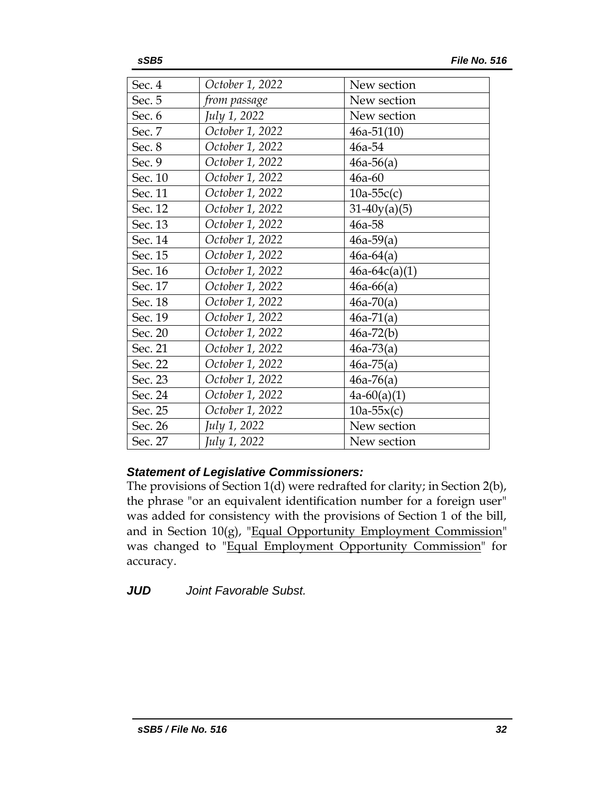| Sec. 4  | October 1, 2022 | New section     |
|---------|-----------------|-----------------|
| Sec. 5  | from passage    | New section     |
| Sec. 6  | July 1, 2022    | New section     |
| Sec. 7  | October 1, 2022 | $46a-51(10)$    |
| Sec. 8  | October 1, 2022 | 46a-54          |
| Sec. 9  | October 1, 2022 | $46a-56(a)$     |
| Sec. 10 | October 1, 2022 | $46a-60$        |
| Sec. 11 | October 1, 2022 | $10a-55c(c)$    |
| Sec. 12 | October 1, 2022 | $31-40y(a)(5)$  |
| Sec. 13 | October 1, 2022 | $46a - 58$      |
| Sec. 14 | October 1, 2022 | $46a-59(a)$     |
| Sec. 15 | October 1, 2022 | $46a-64(a)$     |
| Sec. 16 | October 1, 2022 | $46a-64c(a)(1)$ |
| Sec. 17 | October 1, 2022 | $46a-66(a)$     |
| Sec. 18 | October 1, 2022 | $46a-70(a)$     |
| Sec. 19 | October 1, 2022 | $46a-71(a)$     |
| Sec. 20 | October 1, 2022 | $46a-72(b)$     |
| Sec. 21 | October 1, 2022 | $46a-73(a)$     |
| Sec. 22 | October 1, 2022 | $46a-75(a)$     |
| Sec. 23 | October 1, 2022 | $46a-76(a)$     |
| Sec. 24 | October 1, 2022 | $4a-60(a)(1)$   |
| Sec. 25 | October 1, 2022 | $10a-55x(c)$    |
| Sec. 26 | July 1, 2022    | New section     |
| Sec. 27 | July 1, 2022    | New section     |

# *Statement of Legislative Commissioners:*

The provisions of Section 1(d) were redrafted for clarity; in Section 2(b), the phrase "or an equivalent identification number for a foreign user" was added for consistency with the provisions of Section 1 of the bill, and in Section  $10(g)$ , "Equal Opportunity Employment Commission" was changed to "Equal Employment Opportunity Commission" for accuracy.

*JUD Joint Favorable Subst.*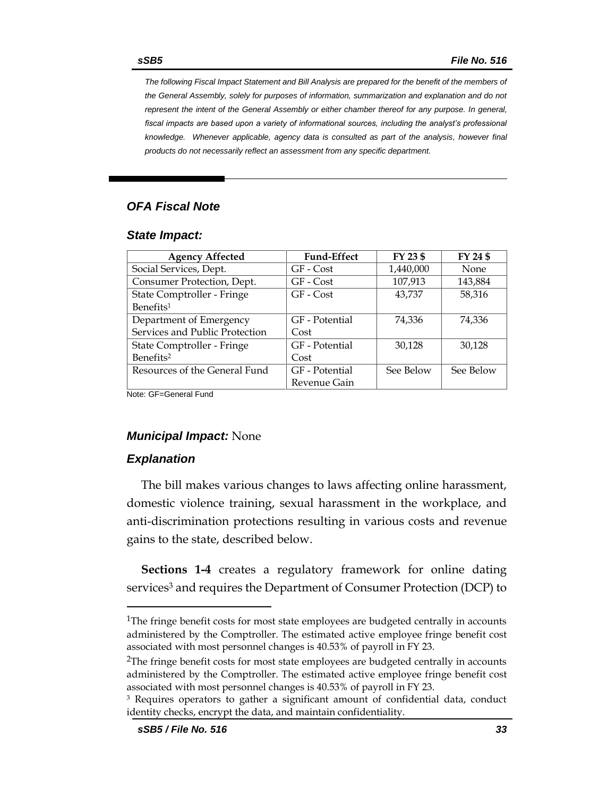*The following Fiscal Impact Statement and Bill Analysis are prepared for the benefit of the members of the General Assembly, solely for purposes of information, summarization and explanation and do not represent the intent of the General Assembly or either chamber thereof for any purpose. In general,*  fiscal impacts are based upon a variety of informational sources, including the analyst's professional *knowledge. Whenever applicable, agency data is consulted as part of the analysis, however final products do not necessarily reflect an assessment from any specific department.*

# *OFA Fiscal Note*

#### *State Impact:*

| <b>Agency Affected</b>         | <b>Fund-Effect</b> | FY 23 \$  | FY 24 \$  |
|--------------------------------|--------------------|-----------|-----------|
| Social Services, Dept.         | GF - Cost          | 1,440,000 | None      |
| Consumer Protection, Dept.     | GF - Cost          | 107,913   | 143,884   |
| State Comptroller - Fringe     | GF - Cost          | 43,737    | 58,316    |
| Benefits <sup>1</sup>          |                    |           |           |
| Department of Emergency        | GF - Potential     | 74,336    | 74,336    |
| Services and Public Protection | Cost               |           |           |
| State Comptroller - Fringe     | GF - Potential     | 30,128    | 30,128    |
| Benefits <sup>2</sup>          | Cost               |           |           |
| Resources of the General Fund  | GF - Potential     | See Below | See Below |
|                                | Revenue Gain       |           |           |

Note: GF=General Fund

### *Municipal Impact:* None

### *Explanation*

The bill makes various changes to laws affecting online harassment, domestic violence training, sexual harassment in the workplace, and anti-discrimination protections resulting in various costs and revenue gains to the state, described below.

**Sections 1-4** creates a regulatory framework for online dating services<sup>3</sup> and requires the Department of Consumer Protection (DCP) to

<sup>&</sup>lt;sup>1</sup>The fringe benefit costs for most state employees are budgeted centrally in accounts administered by the Comptroller. The estimated active employee fringe benefit cost associated with most personnel changes is 40.53% of payroll in FY 23.

<sup>&</sup>lt;sup>2</sup>The fringe benefit costs for most state employees are budgeted centrally in accounts administered by the Comptroller. The estimated active employee fringe benefit cost associated with most personnel changes is 40.53% of payroll in FY 23.

<sup>3</sup> Requires operators to gather a significant amount of confidential data, conduct identity checks, encrypt the data, and maintain confidentiality.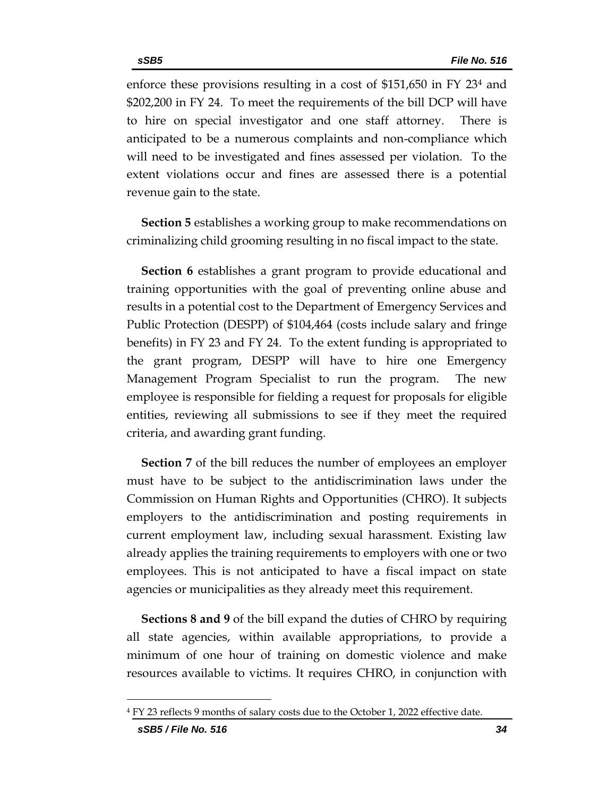enforce these provisions resulting in a cost of \$151,650 in FY 23<sup>4</sup> and \$202,200 in FY 24. To meet the requirements of the bill DCP will have to hire on special investigator and one staff attorney. There is anticipated to be a numerous complaints and non-compliance which will need to be investigated and fines assessed per violation. To the extent violations occur and fines are assessed there is a potential revenue gain to the state.

**Section 5** establishes a working group to make recommendations on criminalizing child grooming resulting in no fiscal impact to the state.

**Section 6** establishes a grant program to provide educational and training opportunities with the goal of preventing online abuse and results in a potential cost to the Department of Emergency Services and Public Protection (DESPP) of \$104,464 (costs include salary and fringe benefits) in FY 23 and FY 24. To the extent funding is appropriated to the grant program, DESPP will have to hire one Emergency Management Program Specialist to run the program. The new employee is responsible for fielding a request for proposals for eligible entities, reviewing all submissions to see if they meet the required criteria, and awarding grant funding.

**Section 7** of the bill reduces the number of employees an employer must have to be subject to the antidiscrimination laws under the Commission on Human Rights and Opportunities (CHRO). It subjects employers to the antidiscrimination and posting requirements in current employment law, including sexual harassment. Existing law already applies the training requirements to employers with one or two employees. This is not anticipated to have a fiscal impact on state agencies or municipalities as they already meet this requirement.

**Sections 8 and 9** of the bill expand the duties of CHRO by requiring all state agencies, within available appropriations, to provide a minimum of one hour of training on domestic violence and make resources available to victims. It requires CHRO, in conjunction with

<sup>&</sup>lt;sup>4</sup> FY 23 reflects 9 months of salary costs due to the October 1, 2022 effective date.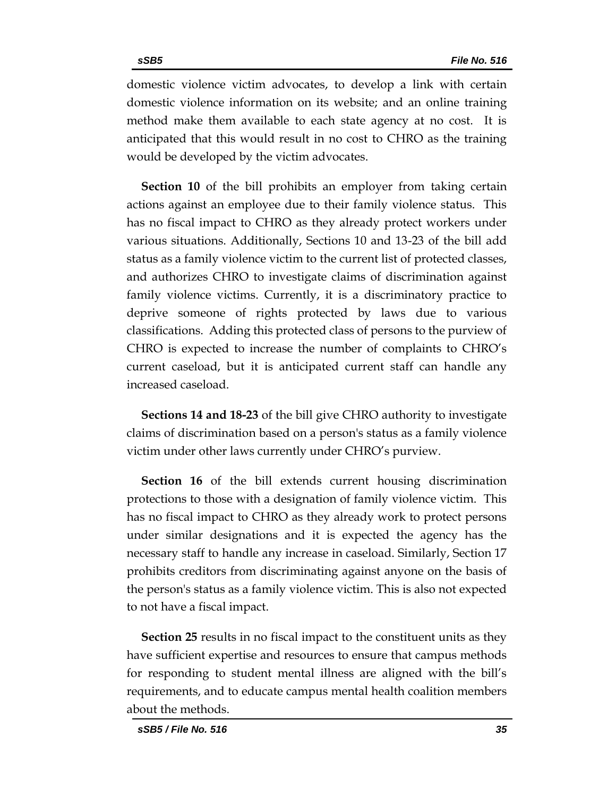domestic violence victim advocates, to develop a link with certain domestic violence information on its website; and an online training method make them available to each state agency at no cost. It is anticipated that this would result in no cost to CHRO as the training would be developed by the victim advocates.

**Section 10** of the bill prohibits an employer from taking certain actions against an employee due to their family violence status. This has no fiscal impact to CHRO as they already protect workers under various situations. Additionally, Sections 10 and 13-23 of the bill add status as a family violence victim to the current list of protected classes, and authorizes CHRO to investigate claims of discrimination against family violence victims. Currently, it is a discriminatory practice to deprive someone of rights protected by laws due to various classifications. Adding this protected class of persons to the purview of CHRO is expected to increase the number of complaints to CHRO's current caseload, but it is anticipated current staff can handle any increased caseload.

**Sections 14 and 18-23** of the bill give CHRO authority to investigate claims of discrimination based on a person's status as a family violence victim under other laws currently under CHRO's purview.

**Section 16** of the bill extends current housing discrimination protections to those with a designation of family violence victim. This has no fiscal impact to CHRO as they already work to protect persons under similar designations and it is expected the agency has the necessary staff to handle any increase in caseload. Similarly, Section 17 prohibits creditors from discriminating against anyone on the basis of the person's status as a family violence victim. This is also not expected to not have a fiscal impact.

**Section 25** results in no fiscal impact to the constituent units as they have sufficient expertise and resources to ensure that campus methods for responding to student mental illness are aligned with the bill's requirements, and to educate campus mental health coalition members about the methods.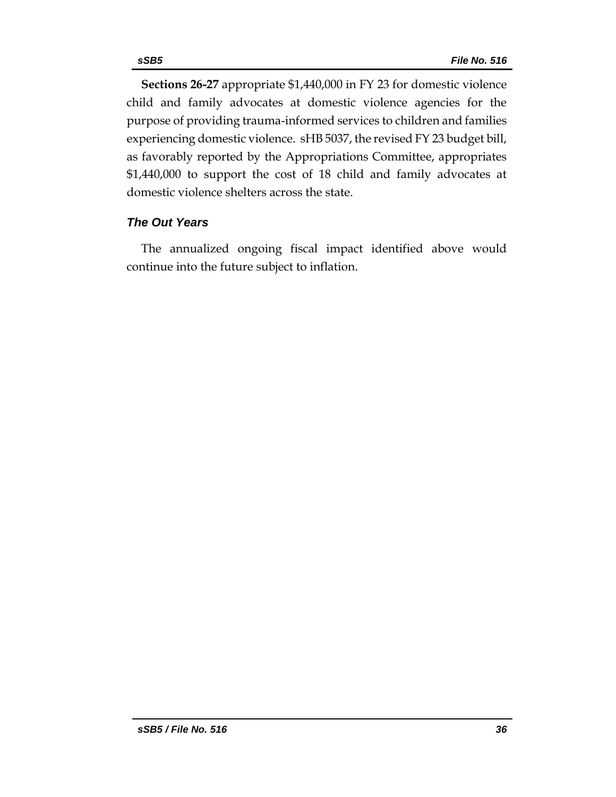**Sections 26-27** appropriate \$1,440,000 in FY 23 for domestic violence child and family advocates at domestic violence agencies for the purpose of providing trauma-informed services to children and families experiencing domestic violence. sHB 5037, the revised FY 23 budget bill, as favorably reported by the Appropriations Committee, appropriates \$1,440,000 to support the cost of 18 child and family advocates at domestic violence shelters across the state.

# *The Out Years*

The annualized ongoing fiscal impact identified above would continue into the future subject to inflation.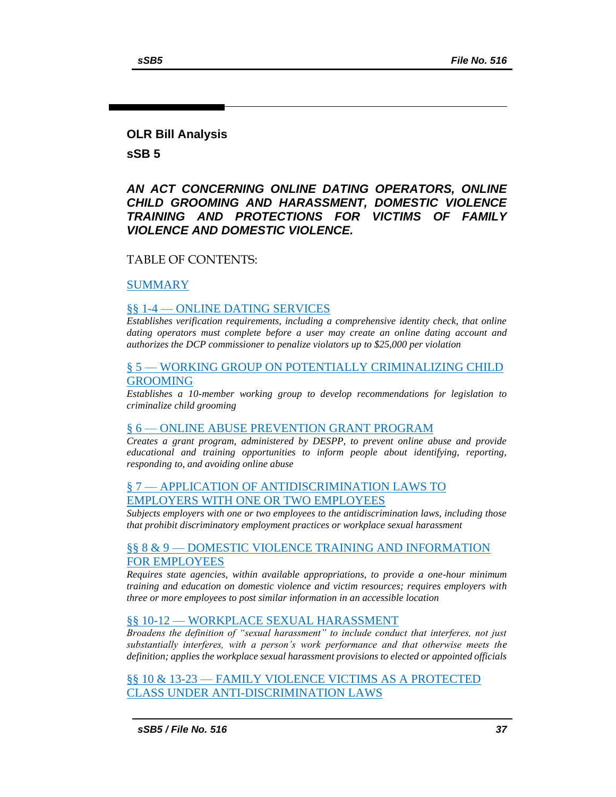#### **OLR Bill Analysis**

**sSB 5**

### *AN ACT CONCERNING ONLINE DATING OPERATORS, ONLINE CHILD GROOMING AND HARASSMENT, DOMESTIC VIOLENCE TRAINING AND PROTECTIONS FOR VICTIMS OF FAMILY VIOLENCE AND DOMESTIC VIOLENCE.*

#### TABLE OF CONTENTS:

#### [SUMMARY](#page-37-0)

#### §§ 1-4 — [ONLINE DATING SERVICES](#page-38-0)

*[Establishes verification requirements, including a comprehensive identity check, that online](#page-38-1)  [dating operators must complete before a user may create an online dating account and](#page-38-1)  [authorizes the DCP commissioner to penalize violators up to \\$25,000 per violation](#page-38-1)*

#### § 5 — [WORKING GROUP ON POTENTIALLY CRIMINALIZING CHILD](#page-41-0)  [GROOMING](#page-41-0)

*[Establishes a 10-member working group to develop recommendations for legislation to](#page-41-1)  [criminalize child grooming](#page-41-1)*

#### § 6 — [ONLINE ABUSE PREVENTION GRANT PROGRAM](#page-42-0)

*[Creates a grant program, administered by DESPP, to prevent online abuse and provide](#page-42-1)  [educational and training opportunities to inform people about identifying, reporting,](#page-42-1)  [responding to, and avoiding online abuse](#page-42-1)*

#### § 7 — [APPLICATION OF ANTIDISCRIMINATION LAWS TO](#page-44-0)  [EMPLOYERS WITH ONE OR TWO EMPLOYEES](#page-44-0)

*[Subjects employers with one or two employees to the antidiscrimination laws, including those](#page-44-1)  [that prohibit discriminatory employment practices or workplace sexual harassment](#page-44-1)*

#### §§ 8 & 9 — [DOMESTIC VIOLENCE TRAINING AND INFORMATION](#page-45-0)  [FOR EMPLOYEES](#page-45-0)

*[Requires state agencies, within available appropriations, to provide a one-hour minimum](#page-45-1)  [training and education on domestic violence and victim resources; requires employers with](#page-45-1)  [three or more employees to post similar information in an accessible location](#page-45-1)*

#### §§ 10-12 — [WORKPLACE SEXUAL HARASSMENT](#page-46-0)

*[Broadens the definition of "sexual harassment" to include conduct that interferes, not just](#page-46-1)  [substantially interferes, with a person's work performance and that otherwise meets the](#page-46-1)  [definition; applies the workplace sexual harassment provisions to elected or appointed officials](#page-46-1)*

§§ 10 & 13-23 — [FAMILY VIOLENCE VICTIMS AS A PROTECTED](#page-47-0)  [CLASS UNDER ANTI-DISCRIMINATION LAWS](#page-47-0)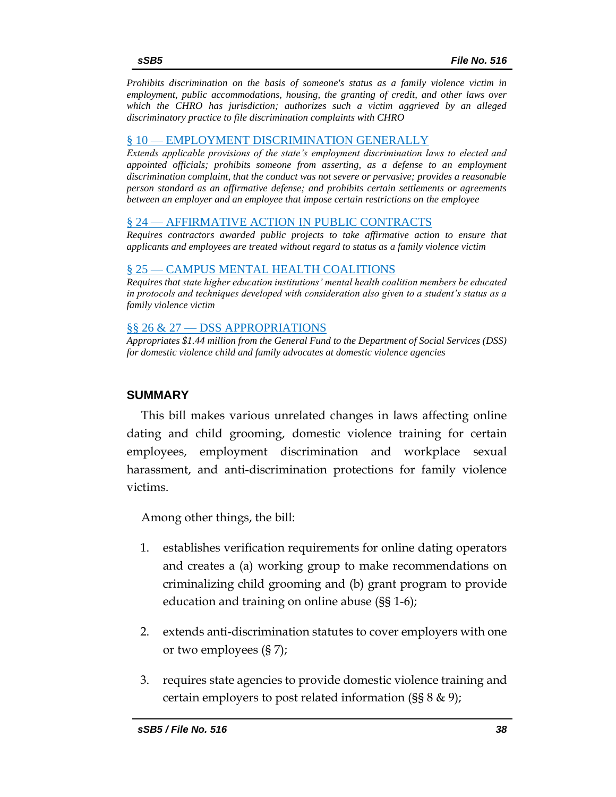*[Prohibits discrimination on the basis of someone's status as a family violence victim in](#page-47-1)  [employment, public accommodations, housing, the granting of credit, and other laws over](#page-47-1)  [which the CHRO has jurisdiction; authorizes such a victim aggrieved by an alleged](#page-47-1)  [discriminatory practice to file discrimination complaints with CHRO](#page-47-1)*

#### § 10 — [EMPLOYMENT DISCRIMINATION GENERALLY](#page-53-0)

*[Extends applicable provisions of the state's employment discrimination laws to elected and](#page-53-1)  [appointed officials; prohibits someone from asserting, as a defense to an employment](#page-53-1)  [discrimination complaint, that the conduct was not severe or pervasive; provides a reasonable](#page-53-1)  [person standard as an affirmative defense; and prohibits certain settlements or agreements](#page-53-1)  [between an employer and an employee that impose certain restrictions on](#page-53-1) the employee*

#### § 24 — [AFFIRMATIVE ACTION IN PUBLIC CONTRACTS](#page-55-0)

*[Requires contractors awarded public projects to take affirmative action to ensure that](#page-55-1)  [applicants and employees are treated without regard to status as a family violence victim](#page-55-1)*

#### § 25 — [CAMPUS MENTAL HEALTH COALITIONS](#page-55-2)

*[Requires that state higher education institutions' mental health coalition members be educated](#page-55-3)  [in protocols and techniques developed with consideration also given to a student's status as a](#page-55-3)  [family violence victim](#page-55-3)*

#### §§ 26 & 27 — [DSS APPROPRIATIONS](#page-56-0)

*[Appropriates \\$1.44 million from the General Fund to the Department of Social Services \(DSS\)](#page-56-1)  [for domestic violence child and family advocates at domestic violence agencies](#page-56-1)*

### <span id="page-37-0"></span>**SUMMARY**

This bill makes various unrelated changes in laws affecting online dating and child grooming, domestic violence training for certain employees, employment discrimination and workplace sexual harassment, and anti-discrimination protections for family violence victims.

Among other things, the bill:

- 1. establishes verification requirements for online dating operators and creates a (a) working group to make recommendations on criminalizing child grooming and (b) grant program to provide education and training on online abuse (§§ 1-6);
- 2. extends anti-discrimination statutes to cover employers with one or two employees (§ 7);
- 3. requires state agencies to provide domestic violence training and certain employers to post related information (§§ 8 & 9);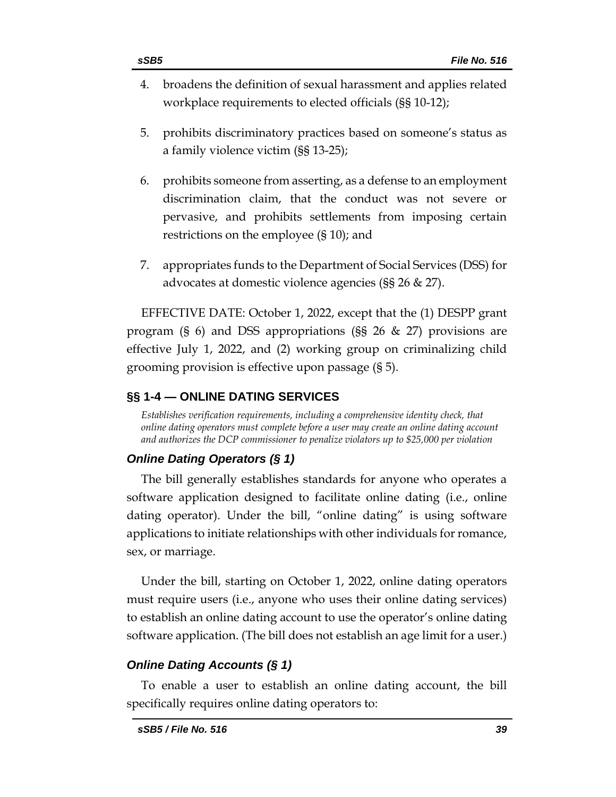- 4. broadens the definition of sexual harassment and applies related workplace requirements to elected officials (§§ 10-12);
- 5. prohibits discriminatory practices based on someone's status as a family violence victim (§§ 13-25);
- 6. prohibits someone from asserting, as a defense to an employment discrimination claim, that the conduct was not severe or pervasive, and prohibits settlements from imposing certain restrictions on the employee (§ 10); and
- 7. appropriates funds to the Department of Social Services (DSS) for advocates at domestic violence agencies (§§ 26 & 27).

EFFECTIVE DATE: October 1, 2022, except that the (1) DESPP grant program (§ 6) and DSS appropriations (§§ 26 & 27) provisions are effective July 1, 2022, and (2) working group on criminalizing child grooming provision is effective upon passage (§ 5).

### <span id="page-38-0"></span>**§§ 1-4 — ONLINE DATING SERVICES**

<span id="page-38-1"></span>*Establishes verification requirements, including a comprehensive identity check, that online dating operators must complete before a user may create an online dating account and authorizes the DCP commissioner to penalize violators up to \$25,000 per violation*

# *Online Dating Operators (§ 1)*

The bill generally establishes standards for anyone who operates a software application designed to facilitate online dating (i.e., online dating operator). Under the bill, "online dating" is using software applications to initiate relationships with other individuals for romance, sex, or marriage.

Under the bill, starting on October 1, 2022, online dating operators must require users (i.e., anyone who uses their online dating services) to establish an online dating account to use the operator's online dating software application. (The bill does not establish an age limit for a user.)

# *Online Dating Accounts (§ 1)*

To enable a user to establish an online dating account, the bill specifically requires online dating operators to: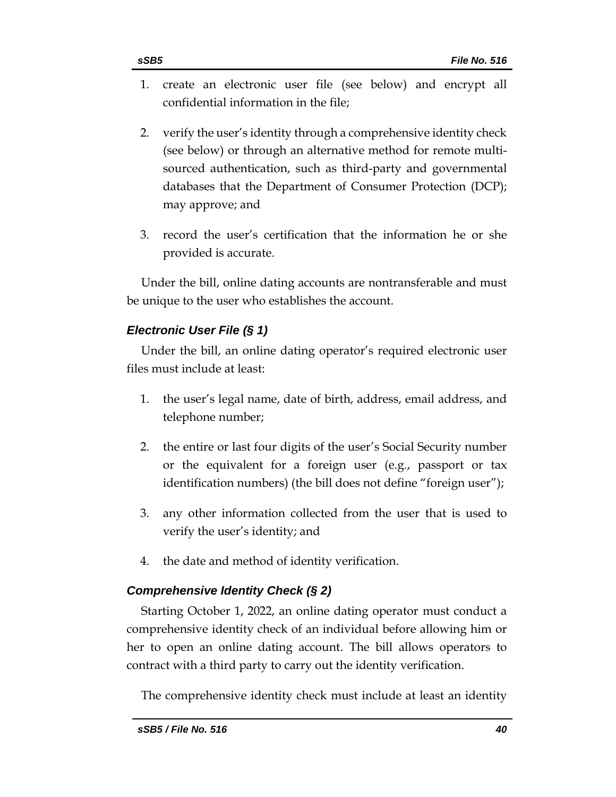- 1. create an electronic user file (see below) and encrypt all confidential information in the file;
- 2. verify the user's identity through a comprehensive identity check (see below) or through an alternative method for remote multisourced authentication, such as third-party and governmental databases that the Department of Consumer Protection (DCP); may approve; and
- 3. record the user's certification that the information he or she provided is accurate.

Under the bill, online dating accounts are nontransferable and must be unique to the user who establishes the account.

# *Electronic User File (§ 1)*

Under the bill, an online dating operator's required electronic user files must include at least:

- 1. the user's legal name, date of birth, address, email address, and telephone number;
- 2. the entire or last four digits of the user's Social Security number or the equivalent for a foreign user (e.g., passport or tax identification numbers) (the bill does not define "foreign user");
- 3. any other information collected from the user that is used to verify the user's identity; and
- 4. the date and method of identity verification.

# *Comprehensive Identity Check (§ 2)*

Starting October 1, 2022, an online dating operator must conduct a comprehensive identity check of an individual before allowing him or her to open an online dating account. The bill allows operators to contract with a third party to carry out the identity verification.

The comprehensive identity check must include at least an identity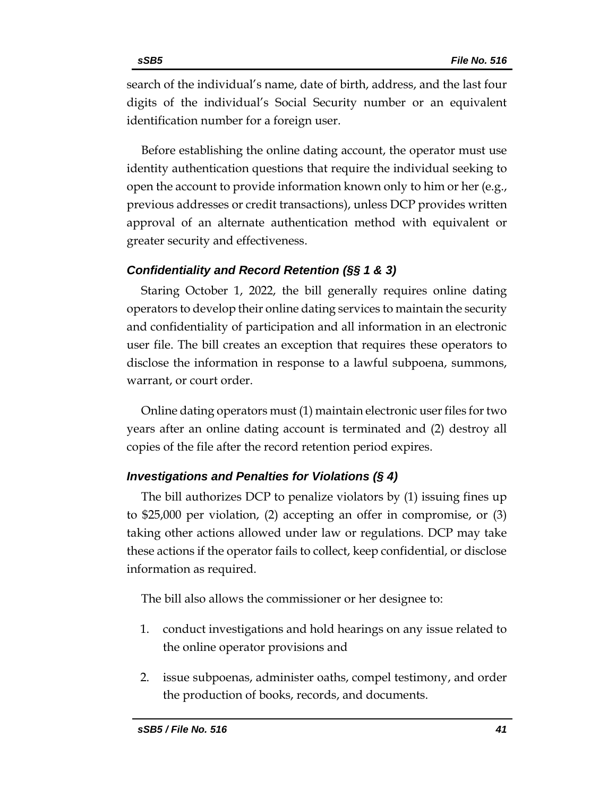search of the individual's name, date of birth, address, and the last four digits of the individual's Social Security number or an equivalent identification number for a foreign user.

Before establishing the online dating account, the operator must use identity authentication questions that require the individual seeking to open the account to provide information known only to him or her (e.g., previous addresses or credit transactions), unless DCP provides written approval of an alternate authentication method with equivalent or greater security and effectiveness.

### *Confidentiality and Record Retention (§§ 1 & 3)*

Staring October 1, 2022, the bill generally requires online dating operators to develop their online dating services to maintain the security and confidentiality of participation and all information in an electronic user file. The bill creates an exception that requires these operators to disclose the information in response to a lawful subpoena, summons, warrant, or court order.

Online dating operators must (1) maintain electronic user files for two years after an online dating account is terminated and (2) destroy all copies of the file after the record retention period expires.

### *Investigations and Penalties for Violations (§ 4)*

The bill authorizes DCP to penalize violators by (1) issuing fines up to \$25,000 per violation, (2) accepting an offer in compromise, or (3) taking other actions allowed under law or regulations. DCP may take these actions if the operator fails to collect, keep confidential, or disclose information as required.

The bill also allows the commissioner or her designee to:

- 1. conduct investigations and hold hearings on any issue related to the online operator provisions and
- 2. issue subpoenas, administer oaths, compel testimony, and order the production of books, records, and documents.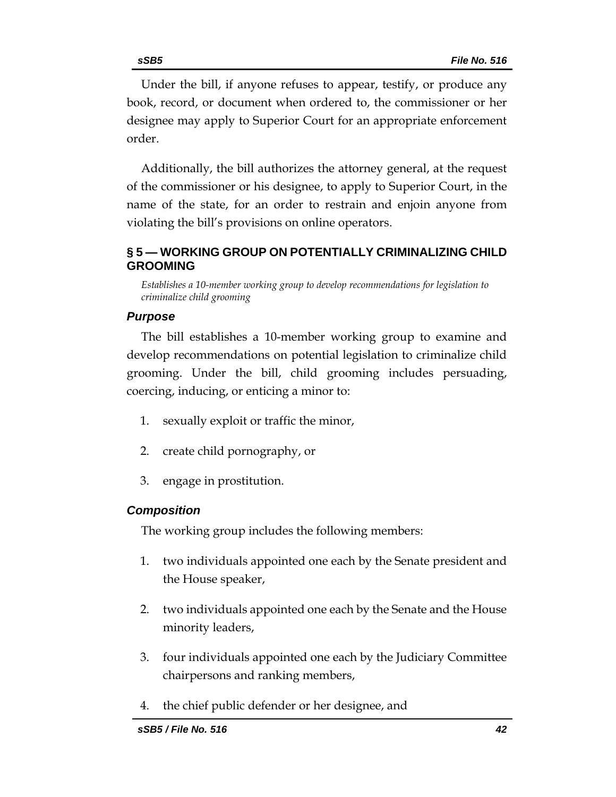Under the bill, if anyone refuses to appear, testify, or produce any book, record, or document when ordered to, the commissioner or her designee may apply to Superior Court for an appropriate enforcement order.

Additionally, the bill authorizes the attorney general, at the request of the commissioner or his designee, to apply to Superior Court, in the name of the state, for an order to restrain and enjoin anyone from violating the bill's provisions on online operators.

# <span id="page-41-0"></span>**§ 5 — WORKING GROUP ON POTENTIALLY CRIMINALIZING CHILD GROOMING**

<span id="page-41-1"></span>*Establishes a 10-member working group to develop recommendations for legislation to criminalize child grooming*

# *Purpose*

The bill establishes a 10-member working group to examine and develop recommendations on potential legislation to criminalize child grooming. Under the bill, child grooming includes persuading, coercing, inducing, or enticing a minor to:

- 1. sexually exploit or traffic the minor,
- 2. create child pornography, or
- 3. engage in prostitution.

# *Composition*

The working group includes the following members:

- 1. two individuals appointed one each by the Senate president and the House speaker,
- 2. two individuals appointed one each by the Senate and the House minority leaders,
- 3. four individuals appointed one each by the Judiciary Committee chairpersons and ranking members,
- 4. the chief public defender or her designee, and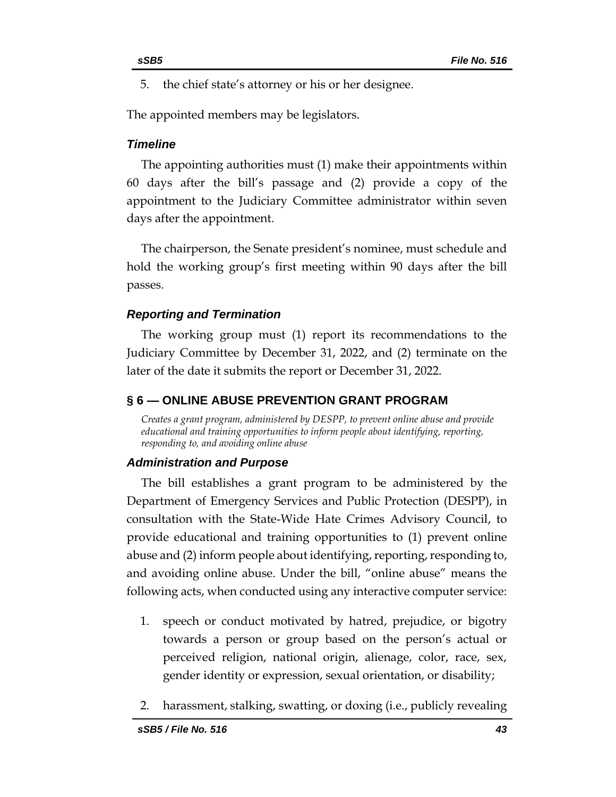- 
- 5. the chief state's attorney or his or her designee.

The appointed members may be legislators.

### *Timeline*

The appointing authorities must (1) make their appointments within 60 days after the bill's passage and (2) provide a copy of the appointment to the Judiciary Committee administrator within seven days after the appointment.

The chairperson, the Senate president's nominee, must schedule and hold the working group's first meeting within 90 days after the bill passes.

### *Reporting and Termination*

The working group must (1) report its recommendations to the Judiciary Committee by December 31, 2022, and (2) terminate on the later of the date it submits the report or December 31, 2022.

# <span id="page-42-0"></span>**§ 6 — ONLINE ABUSE PREVENTION GRANT PROGRAM**

<span id="page-42-1"></span>*Creates a grant program, administered by DESPP, to prevent online abuse and provide educational and training opportunities to inform people about identifying, reporting, responding to, and avoiding online abuse*

# *Administration and Purpose*

The bill establishes a grant program to be administered by the Department of Emergency Services and Public Protection (DESPP), in consultation with the State-Wide Hate Crimes Advisory Council, to provide educational and training opportunities to (1) prevent online abuse and (2) inform people about identifying, reporting, responding to, and avoiding online abuse. Under the bill, "online abuse" means the following acts, when conducted using any interactive computer service:

- 1. speech or conduct motivated by hatred, prejudice, or bigotry towards a person or group based on the person's actual or perceived religion, national origin, alienage, color, race, sex, gender identity or expression, sexual orientation, or disability;
- 2. harassment, stalking, swatting, or doxing (i.e., publicly revealing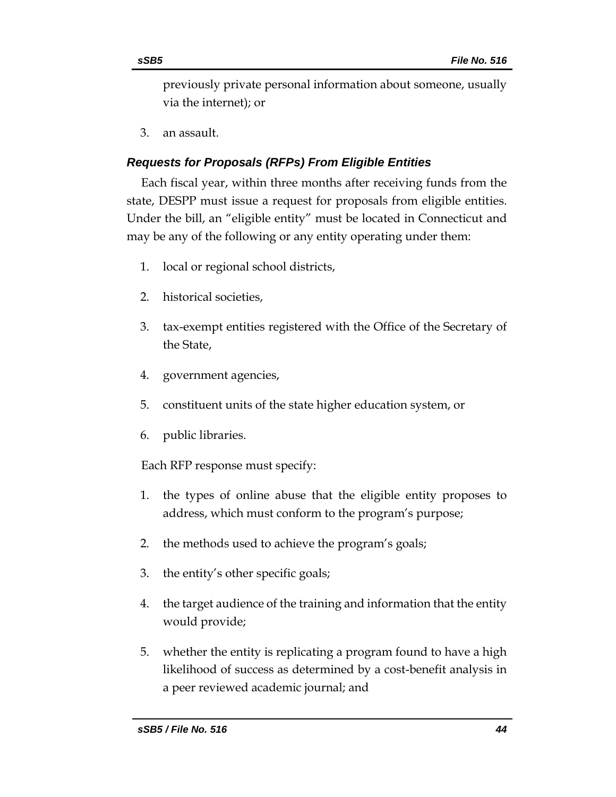previously private personal information about someone, usually via the internet); or

3. an assault.

# *Requests for Proposals (RFPs) From Eligible Entities*

Each fiscal year, within three months after receiving funds from the state, DESPP must issue a request for proposals from eligible entities. Under the bill, an "eligible entity" must be located in Connecticut and may be any of the following or any entity operating under them:

- 1. local or regional school districts,
- 2. historical societies,
- 3. tax-exempt entities registered with the Office of the Secretary of the State,
- 4. government agencies,
- 5. constituent units of the state higher education system, or
- 6. public libraries.

Each RFP response must specify:

- 1. the types of online abuse that the eligible entity proposes to address, which must conform to the program's purpose;
- 2. the methods used to achieve the program's goals;
- 3. the entity's other specific goals;
- 4. the target audience of the training and information that the entity would provide;
- 5. whether the entity is replicating a program found to have a high likelihood of success as determined by a cost-benefit analysis in a peer reviewed academic journal; and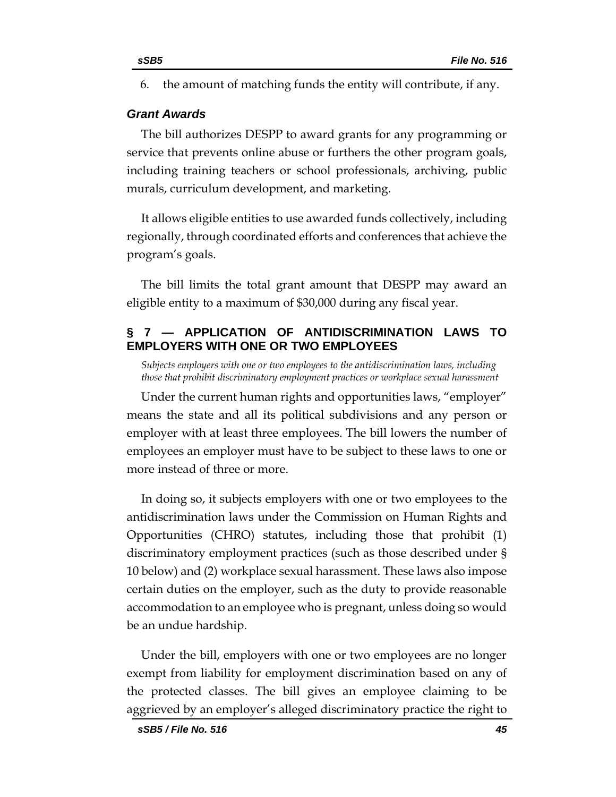6. the amount of matching funds the entity will contribute, if any.

### *Grant Awards*

The bill authorizes DESPP to award grants for any programming or service that prevents online abuse or furthers the other program goals, including training teachers or school professionals, archiving, public murals, curriculum development, and marketing.

It allows eligible entities to use awarded funds collectively, including regionally, through coordinated efforts and conferences that achieve the program's goals.

The bill limits the total grant amount that DESPP may award an eligible entity to a maximum of \$30,000 during any fiscal year.

# <span id="page-44-0"></span>**§ 7 — APPLICATION OF ANTIDISCRIMINATION LAWS TO EMPLOYERS WITH ONE OR TWO EMPLOYEES**

<span id="page-44-1"></span>*Subjects employers with one or two employees to the antidiscrimination laws, including those that prohibit discriminatory employment practices or workplace sexual harassment*

Under the current human rights and opportunities laws, "employer" means the state and all its political subdivisions and any person or employer with at least three employees. The bill lowers the number of employees an employer must have to be subject to these laws to one or more instead of three or more.

In doing so, it subjects employers with one or two employees to the antidiscrimination laws under the Commission on Human Rights and Opportunities (CHRO) statutes, including those that prohibit (1) discriminatory employment practices (such as those described under § 10 below) and (2) workplace sexual harassment. These laws also impose certain duties on the employer, such as the duty to provide reasonable accommodation to an employee who is pregnant, unless doing so would be an undue hardship.

Under the bill, employers with one or two employees are no longer exempt from liability for employment discrimination based on any of the protected classes. The bill gives an employee claiming to be aggrieved by an employer's alleged discriminatory practice the right to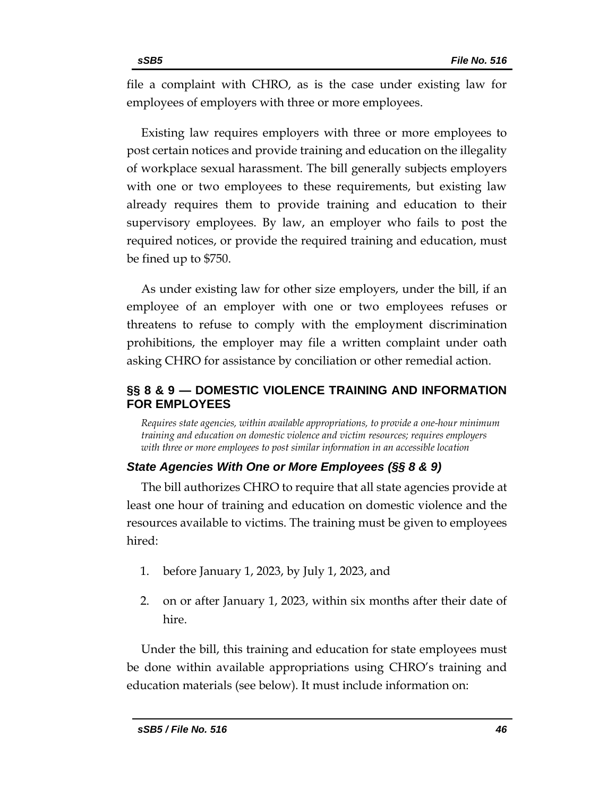file a complaint with CHRO, as is the case under existing law for employees of employers with three or more employees.

Existing law requires employers with three or more employees to post certain notices and provide training and education on the illegality of workplace sexual harassment. The bill generally subjects employers with one or two employees to these requirements, but existing law already requires them to provide training and education to their supervisory employees. By law, an employer who fails to post the required notices, or provide the required training and education, must be fined up to \$750.

As under existing law for other size employers, under the bill, if an employee of an employer with one or two employees refuses or threatens to refuse to comply with the employment discrimination prohibitions, the employer may file a written complaint under oath asking CHRO for assistance by conciliation or other remedial action.

# <span id="page-45-0"></span>**§§ 8 & 9 — DOMESTIC VIOLENCE TRAINING AND INFORMATION FOR EMPLOYEES**

<span id="page-45-1"></span>*Requires state agencies, within available appropriations, to provide a one-hour minimum training and education on domestic violence and victim resources; requires employers with three or more employees to post similar information in an accessible location* 

# *State Agencies With One or More Employees (§§ 8 & 9)*

The bill authorizes CHRO to require that all state agencies provide at least one hour of training and education on domestic violence and the resources available to victims. The training must be given to employees hired:

- 1. before January 1, 2023, by July 1, 2023, and
- 2. on or after January 1, 2023, within six months after their date of hire.

Under the bill, this training and education for state employees must be done within available appropriations using CHRO's training and education materials (see below). It must include information on: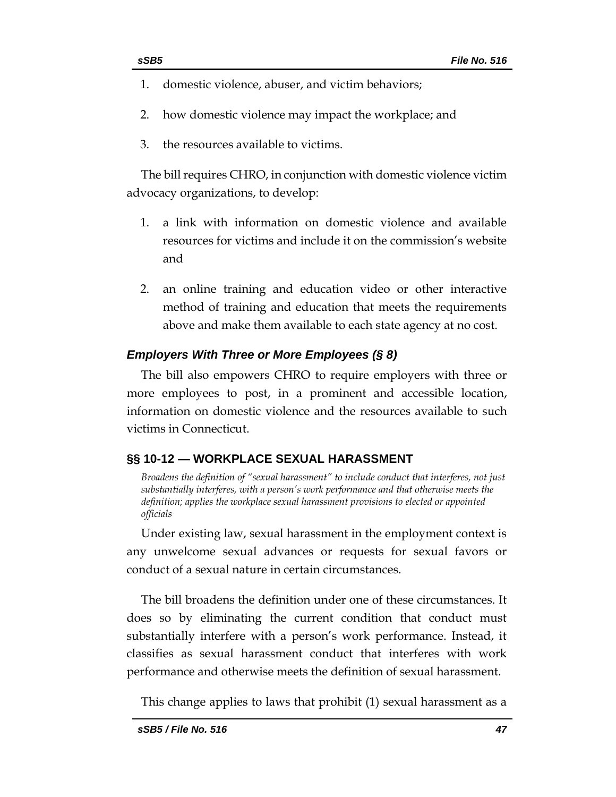- 
- 1. domestic violence, abuser, and victim behaviors;
- 2. how domestic violence may impact the workplace; and
- 3. the resources available to victims.

The bill requires CHRO, in conjunction with domestic violence victim advocacy organizations, to develop:

- 1. a link with information on domestic violence and available resources for victims and include it on the commission's website and
- 2. an online training and education video or other interactive method of training and education that meets the requirements above and make them available to each state agency at no cost.

### *Employers With Three or More Employees (§ 8)*

The bill also empowers CHRO to require employers with three or more employees to post, in a prominent and accessible location, information on domestic violence and the resources available to such victims in Connecticut.

# <span id="page-46-0"></span>**§§ 10-12 — WORKPLACE SEXUAL HARASSMENT**

<span id="page-46-1"></span>*Broadens the definition of "sexual harassment" to include conduct that interferes, not just substantially interferes, with a person's work performance and that otherwise meets the definition; applies the workplace sexual harassment provisions to elected or appointed officials*

Under existing law, sexual harassment in the employment context is any unwelcome sexual advances or requests for sexual favors or conduct of a sexual nature in certain circumstances.

The bill broadens the definition under one of these circumstances. It does so by eliminating the current condition that conduct must substantially interfere with a person's work performance. Instead, it classifies as sexual harassment conduct that interferes with work performance and otherwise meets the definition of sexual harassment.

This change applies to laws that prohibit (1) sexual harassment as a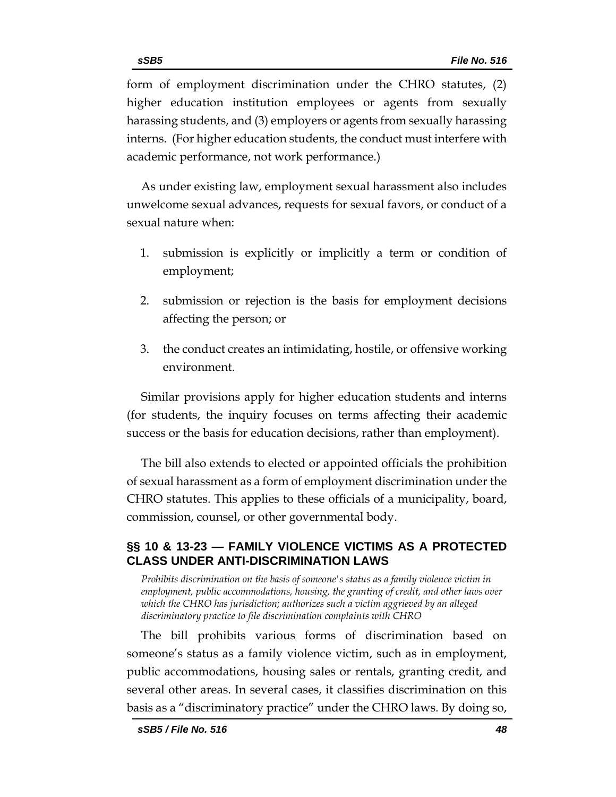form of employment discrimination under the CHRO statutes, (2) higher education institution employees or agents from sexually harassing students, and (3) employers or agents from sexually harassing interns. (For higher education students, the conduct must interfere with academic performance, not work performance.)

As under existing law, employment sexual harassment also includes unwelcome sexual advances, requests for sexual favors, or conduct of a sexual nature when:

- 1. submission is explicitly or implicitly a term or condition of employment;
- 2. submission or rejection is the basis for employment decisions affecting the person; or
- 3. the conduct creates an intimidating, hostile, or offensive working environment.

Similar provisions apply for higher education students and interns (for students, the inquiry focuses on terms affecting their academic success or the basis for education decisions, rather than employment).

The bill also extends to elected or appointed officials the prohibition of sexual harassment as a form of employment discrimination under the CHRO statutes. This applies to these officials of a municipality, board, commission, counsel, or other governmental body.

# <span id="page-47-0"></span>**§§ 10 & 13-23 — FAMILY VIOLENCE VICTIMS AS A PROTECTED CLASS UNDER ANTI-DISCRIMINATION LAWS**

<span id="page-47-1"></span>*Prohibits discrimination on the basis of someone's status as a family violence victim in employment, public accommodations, housing, the granting of credit, and other laws over which the CHRO has jurisdiction; authorizes such a victim aggrieved by an alleged discriminatory practice to file discrimination complaints with CHRO* 

The bill prohibits various forms of discrimination based on someone's status as a family violence victim, such as in employment, public accommodations, housing sales or rentals, granting credit, and several other areas. In several cases, it classifies discrimination on this basis as a "discriminatory practice" under the CHRO laws. By doing so,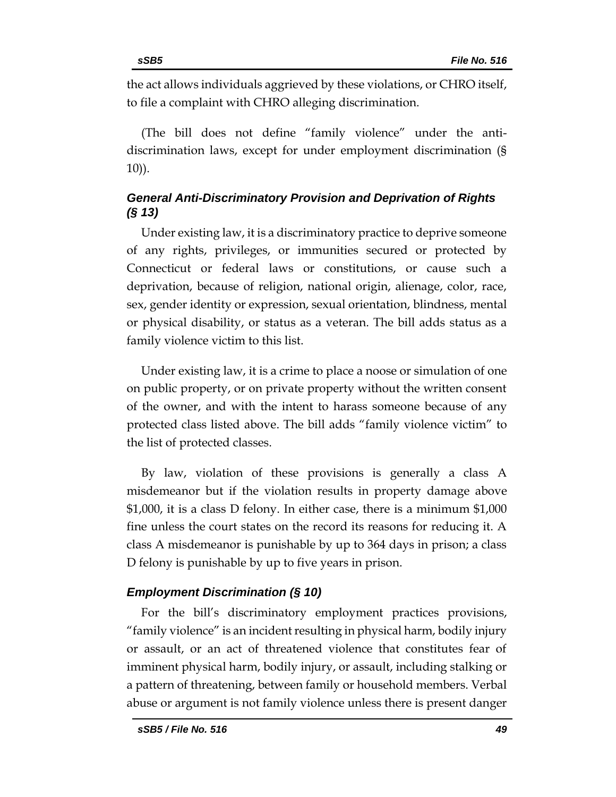the act allows individuals aggrieved by these violations, or CHRO itself, to file a complaint with CHRO alleging discrimination.

(The bill does not define "family violence" under the antidiscrimination laws, except for under employment discrimination (§ 10)).

# *General Anti-Discriminatory Provision and Deprivation of Rights (§ 13)*

Under existing law, it is a discriminatory practice to deprive someone of any rights, privileges, or immunities secured or protected by Connecticut or federal laws or constitutions, or cause such a deprivation, because of religion, national origin, alienage, color, race, sex, gender identity or expression, sexual orientation, blindness, mental or physical disability, or status as a veteran. The bill adds status as a family violence victim to this list.

Under existing law, it is a crime to place a noose or simulation of one on public property, or on private property without the written consent of the owner, and with the intent to harass someone because of any protected class listed above. The bill adds "family violence victim" to the list of protected classes.

By law, violation of these provisions is generally a class A misdemeanor but if the violation results in property damage above \$1,000, it is a class D felony. In either case, there is a minimum \$1,000 fine unless the court states on the record its reasons for reducing it. A class A misdemeanor is punishable by up to 364 days in prison; a class D felony is punishable by up to five years in prison.

# *Employment Discrimination (§ 10)*

For the bill's discriminatory employment practices provisions, "family violence" is an incident resulting in physical harm, bodily injury or assault, or an act of threatened violence that constitutes fear of imminent physical harm, bodily injury, or assault, including stalking or a pattern of threatening, between family or household members. Verbal abuse or argument is not family violence unless there is present danger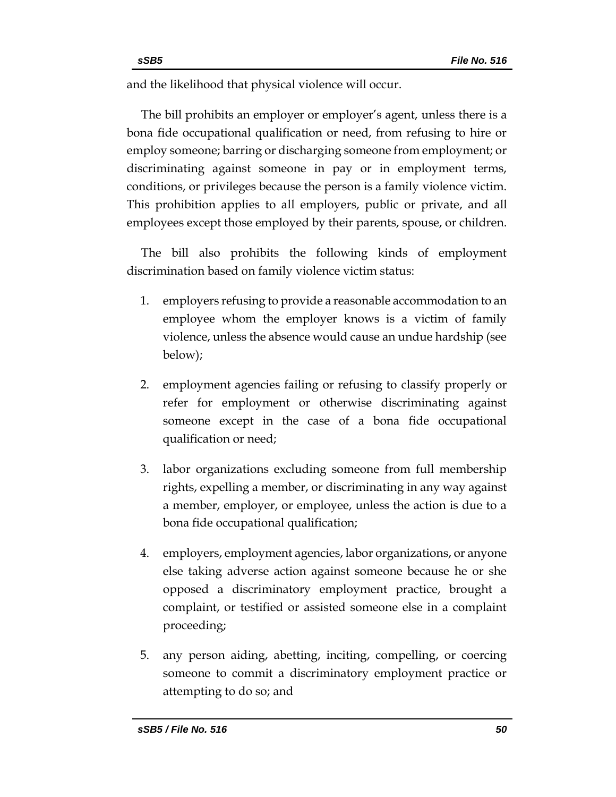and the likelihood that physical violence will occur.

The bill prohibits an employer or employer's agent, unless there is a bona fide occupational qualification or need, from refusing to hire or employ someone; barring or discharging someone from employment; or discriminating against someone in pay or in employment terms, conditions, or privileges because the person is a family violence victim. This prohibition applies to all employers, public or private, and all employees except those employed by their parents, spouse, or children.

The bill also prohibits the following kinds of employment discrimination based on family violence victim status:

- 1. employers refusing to provide a reasonable accommodation to an employee whom the employer knows is a victim of family violence, unless the absence would cause an undue hardship (see below);
- 2. employment agencies failing or refusing to classify properly or refer for employment or otherwise discriminating against someone except in the case of a bona fide occupational qualification or need;
- 3. labor organizations excluding someone from full membership rights, expelling a member, or discriminating in any way against a member, employer, or employee, unless the action is due to a bona fide occupational qualification;
- 4. employers, employment agencies, labor organizations, or anyone else taking adverse action against someone because he or she opposed a discriminatory employment practice, brought a complaint, or testified or assisted someone else in a complaint proceeding;
- 5. any person aiding, abetting, inciting, compelling, or coercing someone to commit a discriminatory employment practice or attempting to do so; and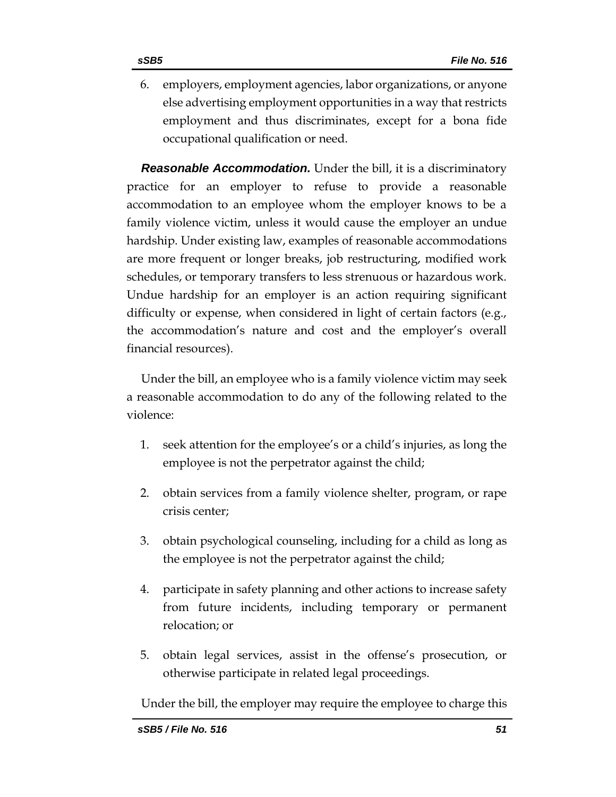6. employers, employment agencies, labor organizations, or anyone else advertising employment opportunities in a way that restricts employment and thus discriminates, except for a bona fide occupational qualification or need.

*Reasonable Accommodation.* Under the bill, it is a discriminatory practice for an employer to refuse to provide a reasonable accommodation to an employee whom the employer knows to be a family violence victim, unless it would cause the employer an undue hardship. Under existing law, examples of reasonable accommodations are more frequent or longer breaks, job restructuring, modified work schedules, or temporary transfers to less strenuous or hazardous work. Undue hardship for an employer is an action requiring significant difficulty or expense, when considered in light of certain factors (e.g., the accommodation's nature and cost and the employer's overall financial resources).

Under the bill, an employee who is a family violence victim may seek a reasonable accommodation to do any of the following related to the violence:

- 1. seek attention for the employee's or a child's injuries, as long the employee is not the perpetrator against the child;
- 2. obtain services from a family violence shelter, program, or rape crisis center;
- 3. obtain psychological counseling, including for a child as long as the employee is not the perpetrator against the child;
- 4. participate in safety planning and other actions to increase safety from future incidents, including temporary or permanent relocation; or
- 5. obtain legal services, assist in the offense's prosecution, or otherwise participate in related legal proceedings.

Under the bill, the employer may require the employee to charge this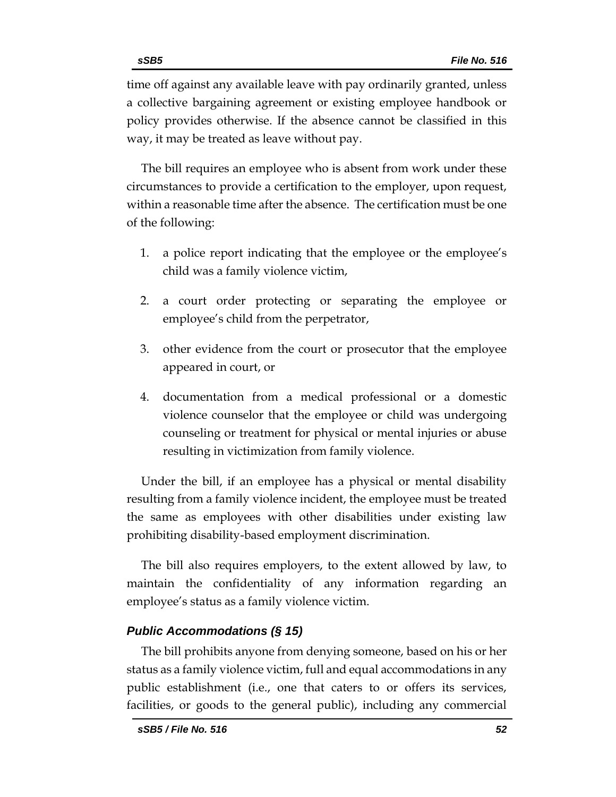The bill requires an employee who is absent from work under these circumstances to provide a certification to the employer, upon request, within a reasonable time after the absence. The certification must be one of the following:

- 1. a police report indicating that the employee or the employee's child was a family violence victim,
- 2. a court order protecting or separating the employee or employee's child from the perpetrator,
- 3. other evidence from the court or prosecutor that the employee appeared in court, or
- 4. documentation from a medical professional or a domestic violence counselor that the employee or child was undergoing counseling or treatment for physical or mental injuries or abuse resulting in victimization from family violence.

Under the bill, if an employee has a physical or mental disability resulting from a family violence incident, the employee must be treated the same as employees with other disabilities under existing law prohibiting disability-based employment discrimination.

The bill also requires employers, to the extent allowed by law, to maintain the confidentiality of any information regarding an employee's status as a family violence victim.

# *Public Accommodations (§ 15)*

The bill prohibits anyone from denying someone, based on his or her status as a family violence victim, full and equal accommodations in any public establishment (i.e., one that caters to or offers its services, facilities, or goods to the general public), including any commercial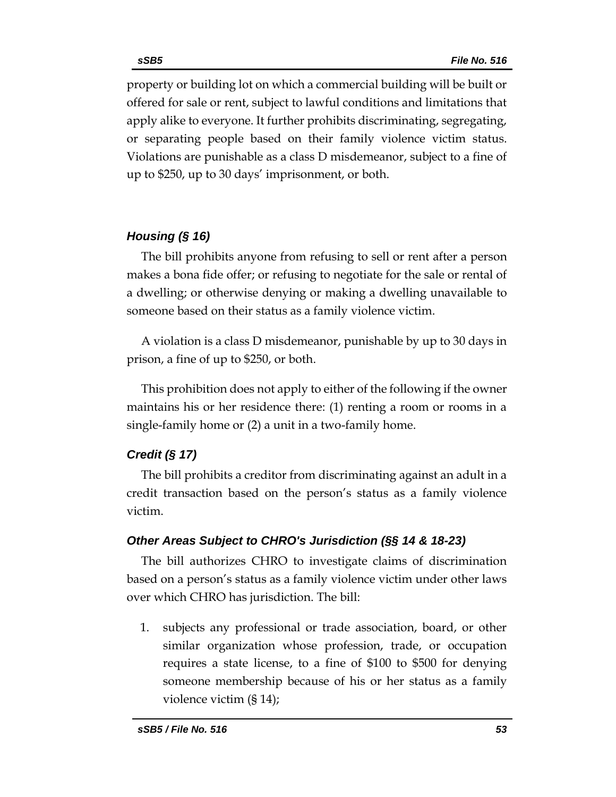property or building lot on which a commercial building will be built or offered for sale or rent, subject to lawful conditions and limitations that apply alike to everyone. It further prohibits discriminating, segregating, or separating people based on their family violence victim status. Violations are punishable as a class D misdemeanor, subject to a fine of up to \$250, up to 30 days' imprisonment, or both.

# *Housing (§ 16)*

The bill prohibits anyone from refusing to sell or rent after a person makes a bona fide offer; or refusing to negotiate for the sale or rental of a dwelling; or otherwise denying or making a dwelling unavailable to someone based on their status as a family violence victim.

A violation is a class D misdemeanor, punishable by up to 30 days in prison, a fine of up to \$250, or both.

This prohibition does not apply to either of the following if the owner maintains his or her residence there: (1) renting a room or rooms in a single-family home or (2) a unit in a two-family home.

# *Credit (§ 17)*

The bill prohibits a creditor from discriminating against an adult in a credit transaction based on the person's status as a family violence victim.

# *Other Areas Subject to CHRO's Jurisdiction (§§ 14 & 18-23)*

The bill authorizes CHRO to investigate claims of discrimination based on a person's status as a family violence victim under other laws over which CHRO has jurisdiction. The bill:

1. subjects any professional or trade association, board, or other similar organization whose profession, trade, or occupation requires a state license, to a fine of \$100 to \$500 for denying someone membership because of his or her status as a family violence victim (§ 14);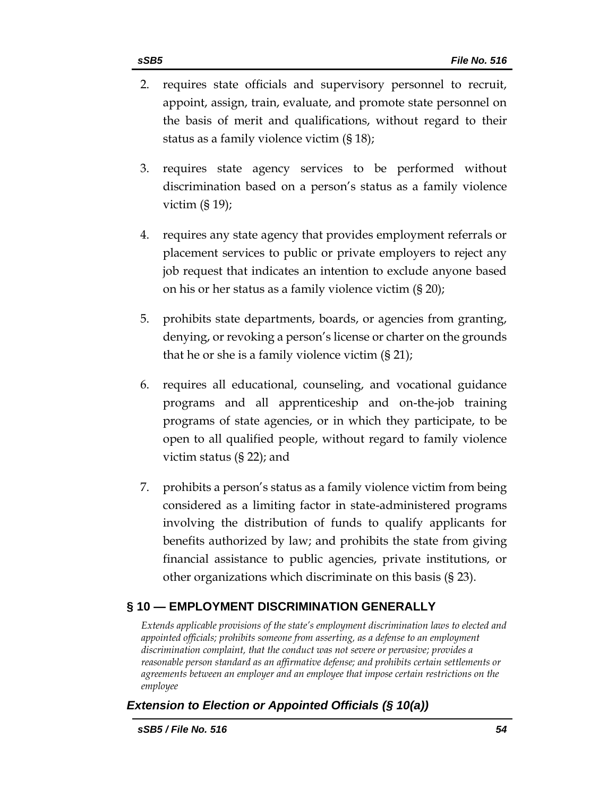- 2. requires state officials and supervisory personnel to recruit, appoint, assign, train, evaluate, and promote state personnel on the basis of merit and qualifications, without regard to their status as a family violence victim (§ 18);
- 3. requires state agency services to be performed without discrimination based on a person's status as a family violence victim (§ 19);
- 4. requires any state agency that provides employment referrals or placement services to public or private employers to reject any job request that indicates an intention to exclude anyone based on his or her status as a family violence victim (§ 20);
- 5. prohibits state departments, boards, or agencies from granting, denying, or revoking a person's license or charter on the grounds that he or she is a family violence victim  $(S 21)$ ;
- 6. requires all educational, counseling, and vocational guidance programs and all apprenticeship and on-the-job training programs of state agencies, or in which they participate, to be open to all qualified people, without regard to family violence victim status (§ 22); and
- 7. prohibits a person's status as a family violence victim from being considered as a limiting factor in state-administered programs involving the distribution of funds to qualify applicants for benefits authorized by law; and prohibits the state from giving financial assistance to public agencies, private institutions, or other organizations which discriminate on this basis (§ 23).

# <span id="page-53-0"></span>**§ 10 — EMPLOYMENT DISCRIMINATION GENERALLY**

<span id="page-53-1"></span>*Extends applicable provisions of the state's employment discrimination laws to elected and appointed officials; prohibits someone from asserting, as a defense to an employment discrimination complaint, that the conduct was not severe or pervasive; provides a reasonable person standard as an affirmative defense; and prohibits certain settlements or agreements between an employer and an employee that impose certain restrictions on the employee*

# *Extension to Election or Appointed Officials (§ 10(a))*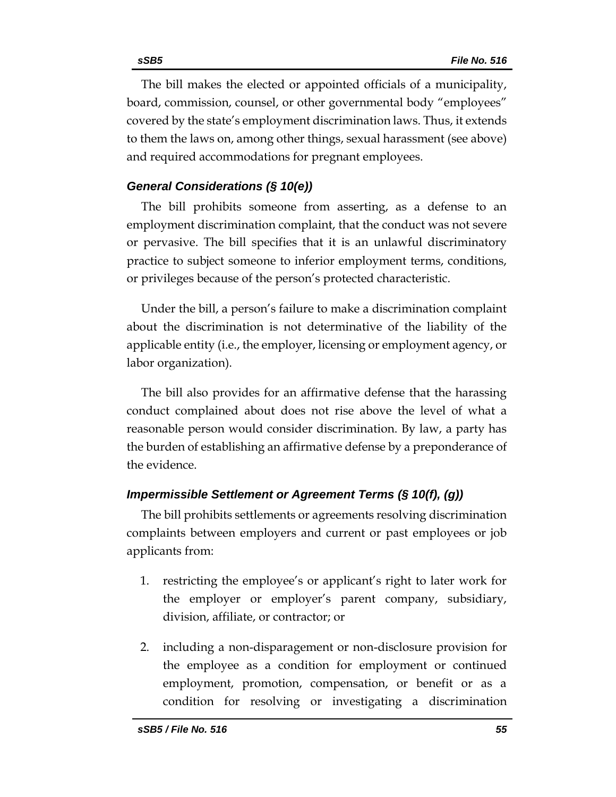The bill makes the elected or appointed officials of a municipality, board, commission, counsel, or other governmental body "employees" covered by the state's employment discrimination laws. Thus, it extends to them the laws on, among other things, sexual harassment (see above) and required accommodations for pregnant employees.

### *General Considerations (§ 10(e))*

The bill prohibits someone from asserting, as a defense to an employment discrimination complaint, that the conduct was not severe or pervasive. The bill specifies that it is an unlawful discriminatory practice to subject someone to inferior employment terms, conditions, or privileges because of the person's protected characteristic.

Under the bill, a person's failure to make a discrimination complaint about the discrimination is not determinative of the liability of the applicable entity (i.e., the employer, licensing or employment agency, or labor organization).

The bill also provides for an affirmative defense that the harassing conduct complained about does not rise above the level of what a reasonable person would consider discrimination. By law, a party has the burden of establishing an affirmative defense by a preponderance of the evidence.

### *Impermissible Settlement or Agreement Terms (§ 10(f), (g))*

The bill prohibits settlements or agreements resolving discrimination complaints between employers and current or past employees or job applicants from:

- 1. restricting the employee's or applicant's right to later work for the employer or employer's parent company, subsidiary, division, affiliate, or contractor; or
- 2. including a non-disparagement or non-disclosure provision for the employee as a condition for employment or continued employment, promotion, compensation, or benefit or as a condition for resolving or investigating a discrimination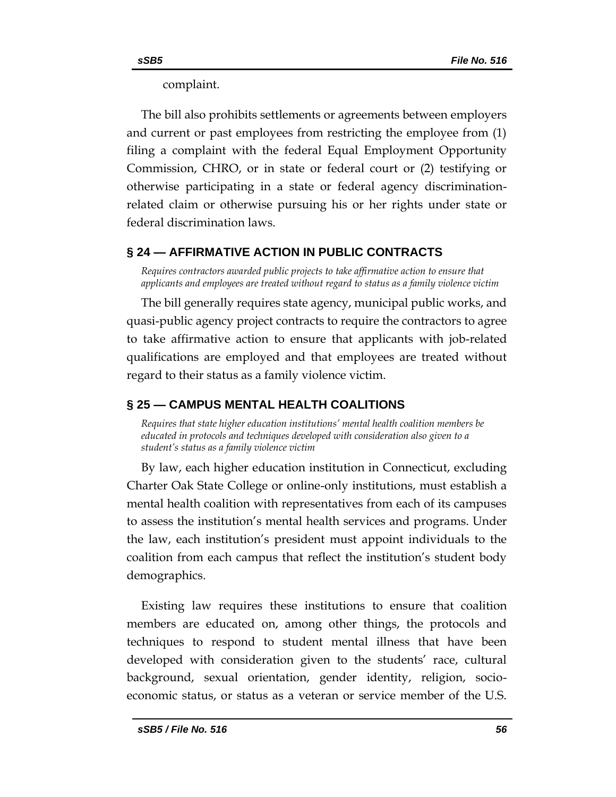complaint.

The bill also prohibits settlements or agreements between employers and current or past employees from restricting the employee from (1) filing a complaint with the federal Equal Employment Opportunity Commission, CHRO, or in state or federal court or (2) testifying or otherwise participating in a state or federal agency discriminationrelated claim or otherwise pursuing his or her rights under state or federal discrimination laws.

# <span id="page-55-0"></span>**§ 24 — AFFIRMATIVE ACTION IN PUBLIC CONTRACTS**

<span id="page-55-1"></span>*Requires contractors awarded public projects to take affirmative action to ensure that applicants and employees are treated without regard to status as a family violence victim*

The bill generally requires state agency, municipal public works, and quasi-public agency project contracts to require the contractors to agree to take affirmative action to ensure that applicants with job-related qualifications are employed and that employees are treated without regard to their status as a family violence victim.

# <span id="page-55-2"></span>**§ 25 — CAMPUS MENTAL HEALTH COALITIONS**

<span id="page-55-3"></span>*Requires that state higher education institutions' mental health coalition members be educated in protocols and techniques developed with consideration also given to a student's status as a family violence victim*

By law, each higher education institution in Connecticut, excluding Charter Oak State College or online-only institutions, must establish a mental health coalition with representatives from each of its campuses to assess the institution's mental health services and programs. Under the law, each institution's president must appoint individuals to the coalition from each campus that reflect the institution's student body demographics.

Existing law requires these institutions to ensure that coalition members are educated on, among other things, the protocols and techniques to respond to student mental illness that have been developed with consideration given to the students' race, cultural background, sexual orientation, gender identity, religion, socioeconomic status, or status as a veteran or service member of the U.S.